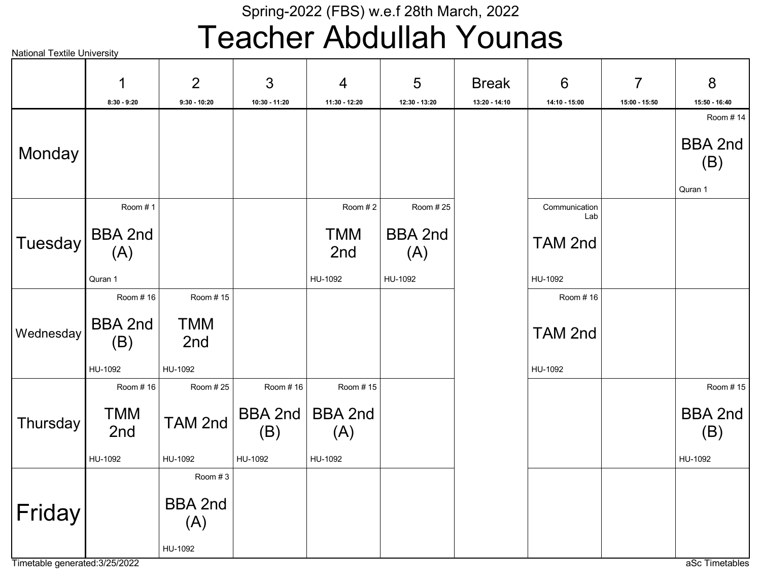## Teacher Abdullah Younas

|                                | 1                     | $\overline{2}$        | 3              | $\overline{4}$        | 5                     | <b>Break</b>  | $6\phantom{1}6$      | $\overline{7}$ | 8                         |
|--------------------------------|-----------------------|-----------------------|----------------|-----------------------|-----------------------|---------------|----------------------|----------------|---------------------------|
|                                | $8:30 - 9:20$         | $9:30 - 10:20$        | 10:30 - 11:20  | 11:30 - 12:20         | 12:30 - 13:20         | 13:20 - 14:10 | 14:10 - 15:00        | 15:00 - 15:50  | 15:50 - 16:40<br>Room #14 |
| Monday                         |                       |                       |                |                       |                       |               |                      |                | <b>BBA 2nd</b><br>(B)     |
|                                |                       |                       |                |                       |                       |               |                      |                | Quran 1                   |
|                                | Room #1               |                       |                | Room #2               | Room #25              |               | Communication<br>Lab |                |                           |
| Tuesday                        | BBA 2nd<br>(A)        |                       |                | <b>TMM</b><br>2nd     | <b>BBA 2nd</b><br>(A) |               | <b>TAM 2nd</b>       |                |                           |
|                                | Quran 1               |                       |                | HU-1092               | HU-1092               |               | HU-1092              |                |                           |
|                                | Room #16              | Room #15              |                |                       |                       |               | Room #16             |                |                           |
| Wednesday                      | <b>BBA 2nd</b><br>(B) | <b>TMM</b><br>2nd     |                |                       |                       |               | TAM 2nd              |                |                           |
|                                | HU-1092               | HU-1092               |                |                       |                       |               | HU-1092              |                |                           |
|                                | Room #16              | Room #25              | Room #16       | Room #15              |                       |               |                      |                | Room #15                  |
| Thursday                       | TMM<br>2nd            | TAM 2nd               | BBA 2nd<br>(B) | <b>BBA 2nd</b><br>(A) |                       |               |                      |                | <b>BBA 2nd</b><br>(B)     |
|                                | HU-1092               | HU-1092               | HU-1092        | HU-1092               |                       |               |                      |                | HU-1092                   |
|                                |                       | Room #3               |                |                       |                       |               |                      |                |                           |
| Friday                         |                       | <b>BBA 2nd</b><br>(A) |                |                       |                       |               |                      |                |                           |
| Timetable generated: 3/25/2022 |                       | HU-1092               |                |                       |                       |               |                      |                | aSc Timetables            |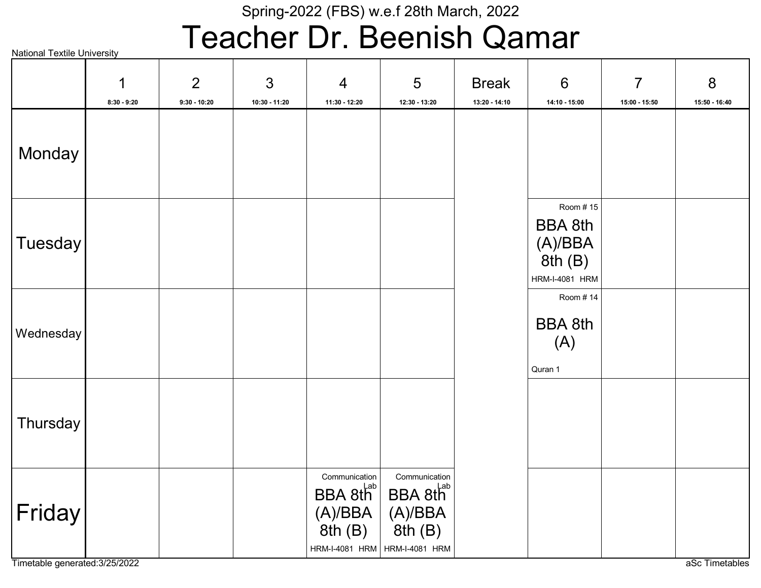## Teacher Dr. Beenish Qamar

|                                          | 1<br>$8:30 - 9:20$ | 2<br>$9:30 - 10:20$ | 3<br>10:30 - 11:20 | $\overline{4}$<br>11:30 - 12:20                            | $5\phantom{.0}$<br>12:30 - 13:20                                                                                                    | <b>Break</b><br>13:20 - 14:10 | $6\phantom{1}6$<br>14:10 - 15:00                                              | $\overline{7}$<br>15:00 - 15:50 | 8<br>15:50 - 16:40 |
|------------------------------------------|--------------------|---------------------|--------------------|------------------------------------------------------------|-------------------------------------------------------------------------------------------------------------------------------------|-------------------------------|-------------------------------------------------------------------------------|---------------------------------|--------------------|
| Monday                                   |                    |                     |                    |                                                            |                                                                                                                                     |                               |                                                                               |                                 |                    |
| Tuesday                                  |                    |                     |                    |                                                            |                                                                                                                                     |                               | Room #15<br><b>BBA 8th</b><br>$(A)/BBA$<br>8th $(B)$<br><b>HRM-I-4081 HRM</b> |                                 |                    |
| Wednesday                                |                    |                     |                    |                                                            |                                                                                                                                     |                               | Room #14<br><b>BBA 8th</b><br>(A)<br>Quran 1                                  |                                 |                    |
| Thursday                                 |                    |                     |                    |                                                            |                                                                                                                                     |                               |                                                                               |                                 |                    |
| Friday<br>Timetable generated: 3/25/2022 |                    |                     |                    | Communication<br>8th(B)<br>HRM-I-4081 HRM   HRM-I-4081 HRM | Communication<br>$\mathsf{BBA} 8\mathsf{th}^{\mathsf{Lab}}$ BBA $8\mathsf{th}^{\mathsf{Lab}}$<br>(A)/BBA   (A)/BBA<br>$\int 8th(B)$ |                               |                                                                               |                                 | aSc Timetables     |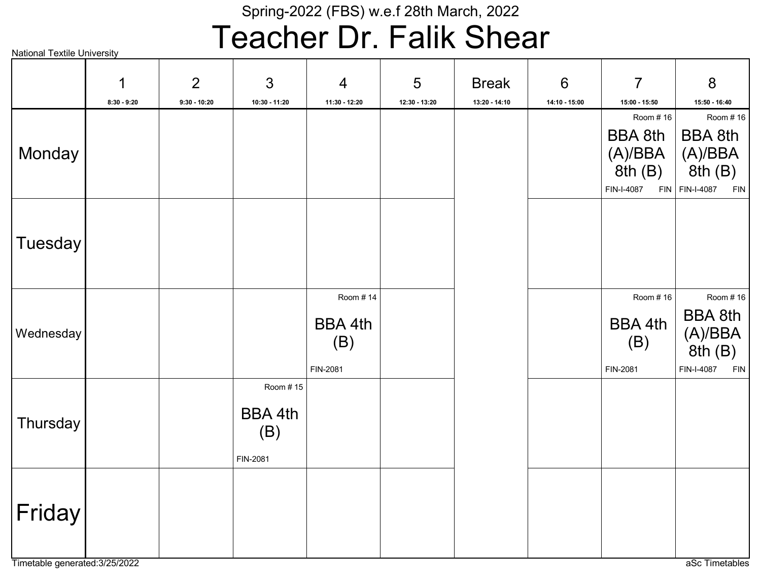## Teacher Dr. Falik Shear

|           | $\mathbf 1$   | 2              | 3                                      | $\overline{4}$                                | 5             | <b>Break</b>  | $6\phantom{1}6$ | $\overline{7}$                                | 8                                                                     |
|-----------|---------------|----------------|----------------------------------------|-----------------------------------------------|---------------|---------------|-----------------|-----------------------------------------------|-----------------------------------------------------------------------|
|           | $8:30 - 9:20$ | $9:30 - 10:20$ | 10:30 - 11:20                          | 11:30 - 12:20                                 | 12:30 - 13:20 | 13:20 - 14:10 | 14:10 - 15:00   | 15:00 - 15:50                                 | 15:50 - 16:40<br>Room #16                                             |
| Monday    |               |                |                                        |                                               |               |               |                 | Room #16<br>BBA 8th<br>(A)/BBA<br>8th(B)      | <b>BBA 8th</b><br>(A)/BBA<br>8th (B)<br>FIN-I-4087 FIN FIN-I-4087 FIN |
| Tuesday   |               |                |                                        |                                               |               |               |                 |                                               |                                                                       |
| Wednesday |               |                |                                        | Room #14<br><b>BBA 4th</b><br>(B)<br>FIN-2081 |               |               |                 | Room #16<br><b>BBA 4th</b><br>(B)<br>FIN-2081 | Room # 16<br><b>BBA 8th</b><br>(A)/BBA<br>8th(B)<br>FIN-I-4087<br>FIN |
| Thursday  |               |                | Room #15<br>BBA 4th<br>(B)<br>FIN-2081 |                                               |               |               |                 |                                               |                                                                       |
| Friday    |               |                |                                        |                                               |               |               |                 |                                               |                                                                       |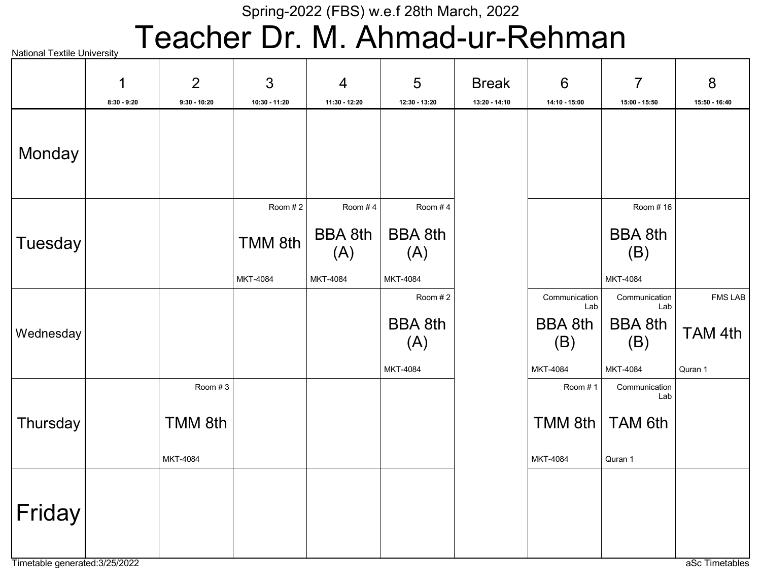# Teacher Dr. M. Ahmad-ur-Rehman

|           | 1<br>$8:30 - 9:20$ | 2<br>$9:30 - 10:20$            | 3<br>10:30 - 11:20             | $\overline{4}$<br>11:30 - 12:20              | 5<br>12:30 - 13:20                           | <b>Break</b><br>13:20 - 14:10 | $6\phantom{1}6$<br>14:10 - 15:00                          | $\overline{7}$<br>15:00 - 15:50                           | 8<br>15:50 - 16:40                   |
|-----------|--------------------|--------------------------------|--------------------------------|----------------------------------------------|----------------------------------------------|-------------------------------|-----------------------------------------------------------|-----------------------------------------------------------|--------------------------------------|
| Monday    |                    |                                |                                |                                              |                                              |                               |                                                           |                                                           |                                      |
| Tuesday   |                    |                                | Room #2<br>TMM 8th<br>MKT-4084 | Room #4<br><b>BBA 8th</b><br>(A)<br>MKT-4084 | Room #4<br><b>BBA 8th</b><br>(A)<br>MKT-4084 |                               |                                                           | Room #16<br><b>BBA 8th</b><br>(B)<br>MKT-4084             |                                      |
| Wednesday |                    |                                |                                |                                              | Room #2<br><b>BBA 8th</b><br>(A)<br>MKT-4084 |                               | Communication<br>Lab<br><b>BBA 8th</b><br>(B)<br>MKT-4084 | Communication<br>Lab<br><b>BBA 8th</b><br>(B)<br>MKT-4084 | <b>FMS LAB</b><br>TAM 4th<br>Quran 1 |
| Thursday  |                    | Room #3<br>TMM 8th<br>MKT-4084 |                                |                                              |                                              |                               | Room #1<br>TMM 8th $ $<br>MKT-4084                        | Communication<br>Lab<br>TAM 6th<br>Quran 1                |                                      |
| Friday    |                    |                                |                                |                                              |                                              |                               |                                                           |                                                           |                                      |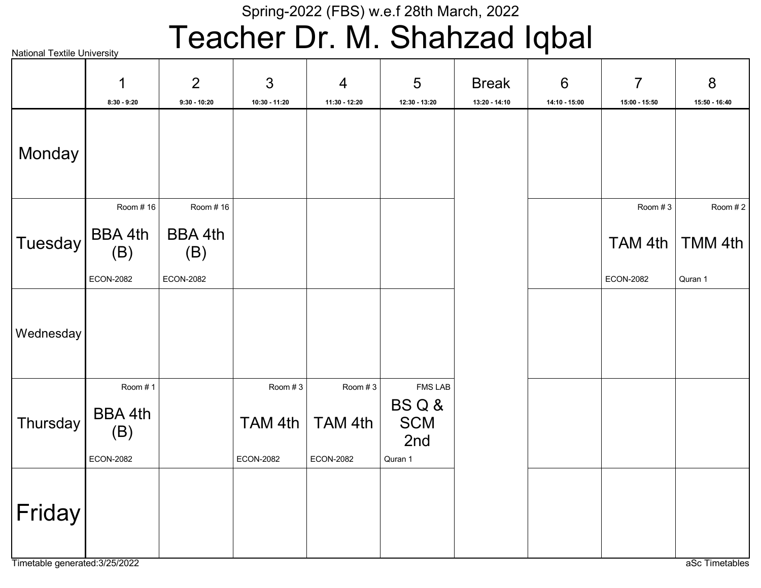# Teacher Dr. M. Shahzad Iqbal

|           | 1                                             | $\overline{2}$        | 3                                      | $\overline{4}$                         | 5                                                      | <b>Break</b>  | $6\phantom{1}6$ | $\overline{7}$   | 8             |
|-----------|-----------------------------------------------|-----------------------|----------------------------------------|----------------------------------------|--------------------------------------------------------|---------------|-----------------|------------------|---------------|
|           | $8:30 - 9:20$                                 | $9:30 - 10:20$        | 10:30 - 11:20                          | 11:30 - 12:20                          | 12:30 - 13:20                                          | 13:20 - 14:10 | 14:10 - 15:00   | 15:00 - 15:50    | 15:50 - 16:40 |
| Monday    |                                               |                       |                                        |                                        |                                                        |               |                 |                  |               |
|           | Room #16                                      | Room #16              |                                        |                                        |                                                        |               |                 | Room #3          | Room #2       |
| Tuesday   | <b>BBA 4th</b><br>(B)                         | <b>BBA 4th</b><br>(B) |                                        |                                        |                                                        |               |                 | TAM 4th          | TMM 4th       |
|           | <b>ECON-2082</b>                              | <b>ECON-2082</b>      |                                        |                                        |                                                        |               |                 | <b>ECON-2082</b> | Quran 1       |
| Wednesday |                                               |                       |                                        |                                        |                                                        |               |                 |                  |               |
| Thursday  | Room #1<br>BBA 4th<br>(B)<br><b>ECON-2082</b> |                       | Room #3<br>TAM 4th<br><b>ECON-2082</b> | Room #3<br>TAM 4th<br><b>ECON-2082</b> | <b>FMS LAB</b><br>BSQ&<br><b>SCM</b><br>2nd<br>Quran 1 |               |                 |                  |               |
| Friday    |                                               |                       |                                        |                                        |                                                        |               |                 |                  |               |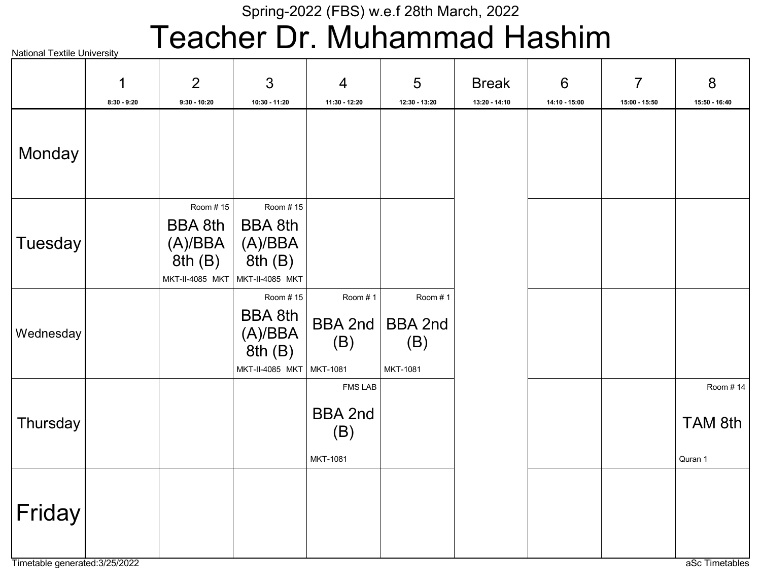## Teacher Dr. Muhammad Hashim

|           | 1<br>$8:30 - 9:20$ | $\overline{2}$<br>$9:30 - 10:20$                                   | $\mathfrak{S}$<br>10:30 - 11:20                                    | $\overline{4}$<br>11:30 - 12:20                     | 5<br>12:30 - 13:20                           | <b>Break</b><br>13:20 - 14:10 | $6\phantom{1}$<br>14:10 - 15:00 | $\overline{7}$<br>15:00 - 15:50 | 8<br>15:50 - 16:40             |
|-----------|--------------------|--------------------------------------------------------------------|--------------------------------------------------------------------|-----------------------------------------------------|----------------------------------------------|-------------------------------|---------------------------------|---------------------------------|--------------------------------|
| Monday    |                    |                                                                    |                                                                    |                                                     |                                              |                               |                                 |                                 |                                |
| Tuesday   |                    | Room #15<br><b>BBA 8th</b><br>(A)/BBA<br>8th(B)<br>MKT-II-4085 MKT | Room #15<br><b>BBA 8th</b><br>(A)/BBA<br>8th(B)<br>MKT-II-4085 MKT |                                                     |                                              |                               |                                 |                                 |                                |
| Wednesday |                    |                                                                    | Room #15<br><b>BBA 8th</b><br>(A)/BBA<br>8th(B)<br>MKT-II-4085 MKT | Room #1<br><b>BBA 2nd</b><br>(B)<br>MKT-1081        | Room #1<br><b>BBA 2nd</b><br>(B)<br>MKT-1081 |                               |                                 |                                 |                                |
| Thursday  |                    |                                                                    |                                                                    | <b>FMS LAB</b><br><b>BBA 2nd</b><br>(B)<br>MKT-1081 |                                              |                               |                                 |                                 | Room #14<br>TAM 8th<br>Quran 1 |
| Friday    |                    |                                                                    |                                                                    |                                                     |                                              |                               |                                 |                                 |                                |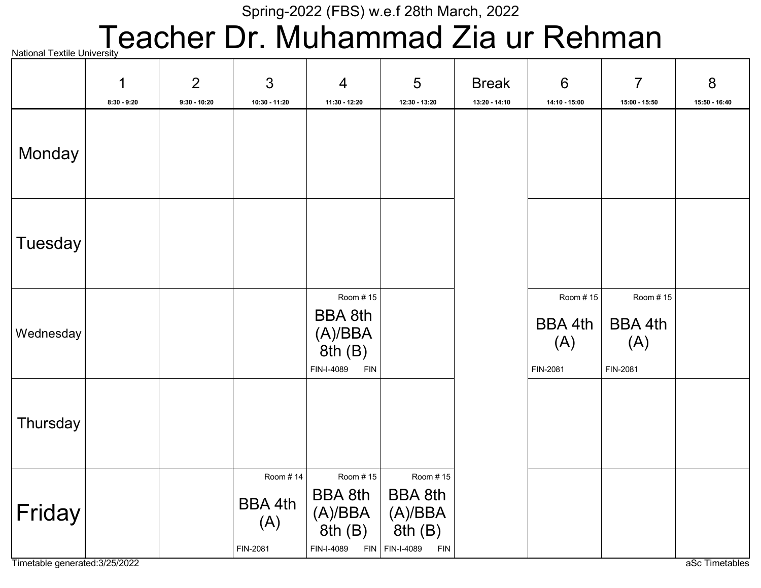## National Textile University **eacher Dr. Muhammad Zia ur Rehman**

|                | 1<br>$8:30 - 9:20$ | 2<br>$9:30 - 10:20$ | 3<br>10:30 - 11:20                            | $\overline{4}$<br>11:30 - 12:20                                             | 5<br>12:30 - 13:20                                                                                                               | <b>Break</b><br>13:20 - 14:10 | $6\phantom{1}6$<br>14:10 - 15:00       | $\overline{7}$<br>15:00 - 15:50        | 8<br>15:50 - 16:40 |
|----------------|--------------------|---------------------|-----------------------------------------------|-----------------------------------------------------------------------------|----------------------------------------------------------------------------------------------------------------------------------|-------------------------------|----------------------------------------|----------------------------------------|--------------------|
| Monday         |                    |                     |                                               |                                                                             |                                                                                                                                  |                               |                                        |                                        |                    |
| <b>Tuesday</b> |                    |                     |                                               |                                                                             |                                                                                                                                  |                               |                                        |                                        |                    |
| Wednesday      |                    |                     |                                               | Room #15<br><b>BBA 8th</b><br>(A)/BBA<br>8th(B)<br>FIN-I-4089<br><b>FIN</b> |                                                                                                                                  |                               | Room #15<br>BBA 4th<br>(A)<br>FIN-2081 | Room #15<br>BBA 4th<br>(A)<br>FIN-2081 |                    |
| Thursday       |                    |                     |                                               |                                                                             |                                                                                                                                  |                               |                                        |                                        |                    |
| Friday         |                    |                     | Room #14<br><b>BBA 4th</b><br>(A)<br>FIN-2081 | Room #15<br><b>BBA 8th</b><br>(A)/BBA<br>8th(B)<br>FIN-I-4089               | Room #15<br><b>BBA 8th</b><br>$\begin{array}{ c } \text{(A)/BBA} \ \text{8th (B)} \end{array}$<br>$FIN$ FIN-I-4089<br><b>FIN</b> |                               |                                        |                                        |                    |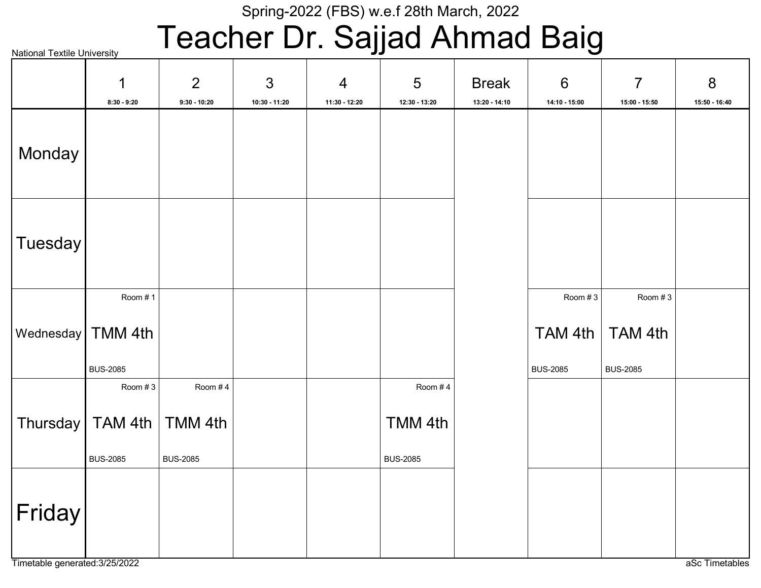# Teacher Dr. Sajjad Ahmad Baig

|         | $\mathbf 1$         | 2               | $\mathfrak{S}$ | $\overline{4}$ | 5               | <b>Break</b>    | $6\phantom{1}6$ | $\overline{7}$  | 8             |
|---------|---------------------|-----------------|----------------|----------------|-----------------|-----------------|-----------------|-----------------|---------------|
|         | $8:30 - 9:20$       | $9:30 - 10:20$  | 10:30 - 11:20  | 11:30 - 12:20  | 12:30 - 13:20   | $13:20 - 14:10$ | 14:10 - 15:00   | 15:00 - 15:50   | 15:50 - 16:40 |
| Monday  |                     |                 |                |                |                 |                 |                 |                 |               |
| Tuesday |                     |                 |                |                |                 |                 |                 |                 |               |
|         | Room #1             |                 |                |                |                 |                 | Room #3         | Room #3         |               |
|         | Wednesday   TMM 4th |                 |                |                |                 |                 | TAM 4th         | TAM 4th         |               |
|         | <b>BUS-2085</b>     |                 |                |                |                 |                 | <b>BUS-2085</b> | <b>BUS-2085</b> |               |
|         | Room #3             | Room #4         |                |                | Room #4         |                 |                 |                 |               |
|         | Thursday   TAM 4th  | TMM 4th         |                |                | TMM 4th         |                 |                 |                 |               |
|         | <b>BUS-2085</b>     | <b>BUS-2085</b> |                |                | <b>BUS-2085</b> |                 |                 |                 |               |
| Friday  |                     |                 |                |                |                 |                 |                 |                 |               |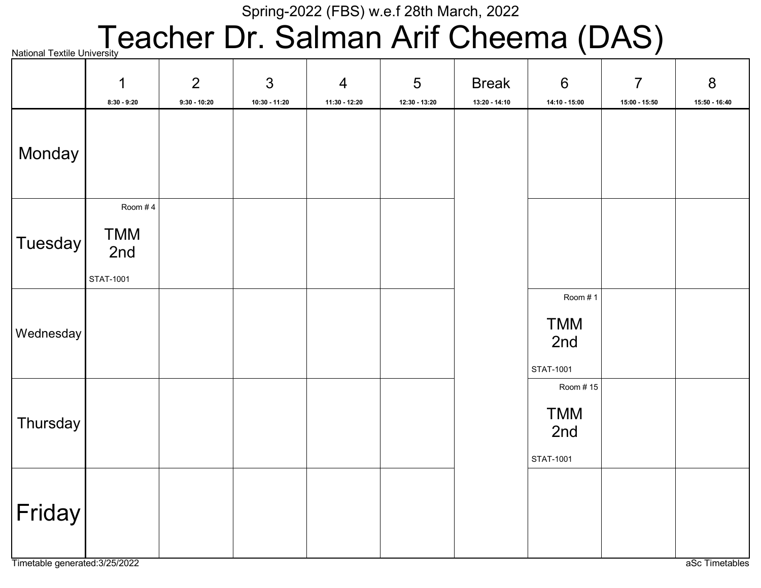## **National Textile University Cacher Dr. Salman Arif Cheema (DAS)**

|                     | $\mathbf 1$<br>$8:30 - 9:20$              | $\overline{2}$<br>$9:30 - 10:20$ | 3<br>$10:30 - 11:20$ | $\overline{4}$<br>11:30 - 12:20 | 5<br>12:30 - 13:20 | <b>Break</b><br>$13:20 - 14:10$ | $6\phantom{1}6$<br>14:10 - 15:00           | $\overline{7}$<br>15:00 - 15:50 | $8\phantom{1}$<br>15:50 - 16:40 |
|---------------------|-------------------------------------------|----------------------------------|----------------------|---------------------------------|--------------------|---------------------------------|--------------------------------------------|---------------------------------|---------------------------------|
| Monday              |                                           |                                  |                      |                                 |                    |                                 |                                            |                                 |                                 |
| $ T$ uesday $ $     | Room #4<br><b>TMM</b><br>2nd<br>STAT-1001 |                                  |                      |                                 |                    |                                 |                                            |                                 |                                 |
| Wednesday           |                                           |                                  |                      |                                 |                    |                                 | Room #1<br><b>TMM</b><br>2nd<br>STAT-1001  |                                 |                                 |
| Thursday            |                                           |                                  |                      |                                 |                    |                                 | Room #15<br><b>TMM</b><br>2nd<br>STAT-1001 |                                 |                                 |
| $ \mathsf{Friday} $ |                                           |                                  |                      |                                 |                    |                                 |                                            |                                 |                                 |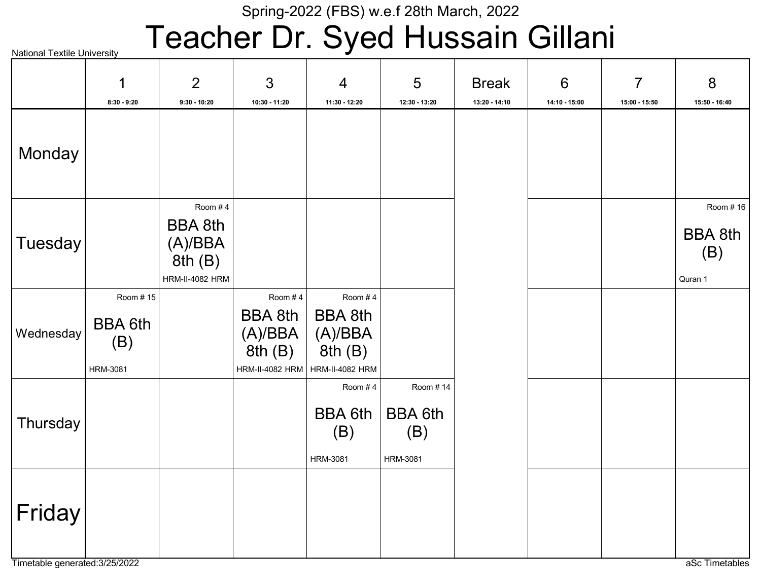# Teacher Dr. Syed Hussain Gillani

|           | 1<br>$8:30 - 9:20$                                   | $\overline{2}$<br>$9:30 - 10:20$                                         | 3<br>10:30 - 11:20                             | $\overline{4}$<br>11:30 - 12:20                                                     | 5<br>12:30 - 13:20                                   | <b>Break</b><br>13:20 - 14:10 | $6\phantom{1}6$<br>14:10 - 15:00 | $\overline{7}$<br>15:00 - 15:50 | 8<br>15:50 - 16:40                           |
|-----------|------------------------------------------------------|--------------------------------------------------------------------------|------------------------------------------------|-------------------------------------------------------------------------------------|------------------------------------------------------|-------------------------------|----------------------------------|---------------------------------|----------------------------------------------|
| Monday    |                                                      |                                                                          |                                                |                                                                                     |                                                      |                               |                                  |                                 |                                              |
| Tuesday   |                                                      | Room #4<br><b>BBA 8th</b><br>(A)/BBA<br>8th(B)<br><b>HRM-II-4082 HRM</b> |                                                |                                                                                     |                                                      |                               |                                  |                                 | Room #16<br><b>BBA 8th</b><br>(B)<br>Quran 1 |
| Wednesday | Room #15<br><b>BBA 6th</b><br>(B)<br><b>HRM-3081</b> |                                                                          | Room #4<br><b>BBA 8th</b><br>(A)/BBA<br>8th(B) | Room #4<br><b>BBA 8th</b><br>(A)/BBA<br>8th(B)<br>HRM-II-4082 HRM   HRM-II-4082 HRM |                                                      |                               |                                  |                                 |                                              |
| Thursday  |                                                      |                                                                          |                                                | Room #4<br><b>BBA 6th</b><br>(B)<br><b>HRM-3081</b>                                 | Room #14<br><b>BBA 6th</b><br>(B)<br><b>HRM-3081</b> |                               |                                  |                                 |                                              |
| Friday    |                                                      |                                                                          |                                                |                                                                                     |                                                      |                               |                                  |                                 |                                              |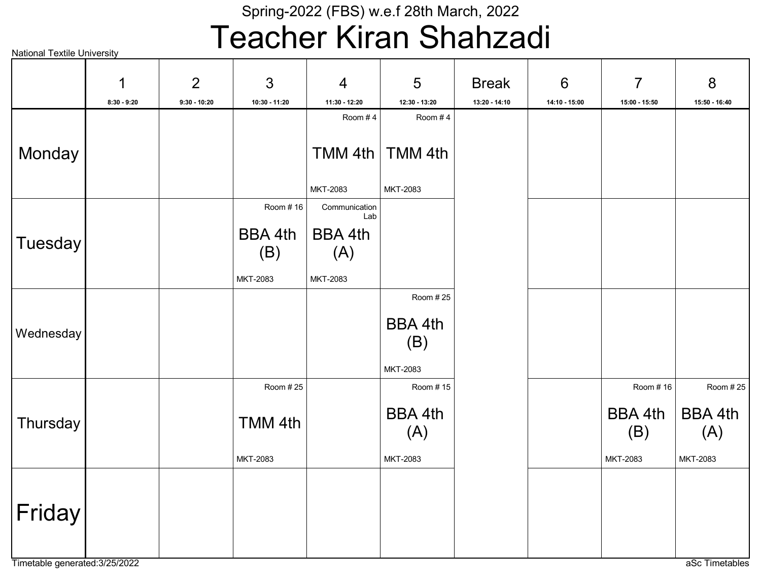## Teacher Kiran Shahzadi

|                | 1             | $\overline{2}$ | 3             | $\overline{4}$       | 5                     | <b>Break</b>  | 6             | $\overline{7}$ | 8                     |
|----------------|---------------|----------------|---------------|----------------------|-----------------------|---------------|---------------|----------------|-----------------------|
|                | $8:30 - 9:20$ | $9:30 - 10:20$ | 10:30 - 11:20 | 11:30 - 12:20        | 12:30 - 13:20         | 13:20 - 14:10 | 14:10 - 15:00 | 15:00 - 15:50  | 15:50 - 16:40         |
|                |               |                |               | Room #4              | Room #4               |               |               |                |                       |
| Monday         |               |                |               | TMM 4th              | TMM 4th               |               |               |                |                       |
|                |               |                |               | MKT-2083             | MKT-2083              |               |               |                |                       |
|                |               |                | Room #16      | Communication<br>Lab |                       |               |               |                |                       |
|                |               |                | BBA 4th       | BBA 4th              |                       |               |               |                |                       |
| <b>Tuesday</b> |               |                | (B)           | (A)                  |                       |               |               |                |                       |
|                |               |                | MKT-2083      | MKT-2083             |                       |               |               |                |                       |
|                |               |                |               |                      | Room #25              |               |               |                |                       |
| Wednesday      |               |                |               |                      | <b>BBA 4th</b>        |               |               |                |                       |
|                |               |                |               |                      | (B)                   |               |               |                |                       |
|                |               |                |               |                      | MKT-2083              |               |               |                |                       |
|                |               |                | Room #25      |                      | Room #15              |               |               | Room #16       | Room # 25             |
| Thursday       |               |                | TMM 4th       |                      | <b>BBA 4th</b><br>(A) |               |               | BBA 4th<br>(B) | <b>BBA 4th</b><br>(A) |
|                |               |                | MKT-2083      |                      | MKT-2083              |               |               | MKT-2083       | MKT-2083              |
| Friday         |               |                |               |                      |                       |               |               |                |                       |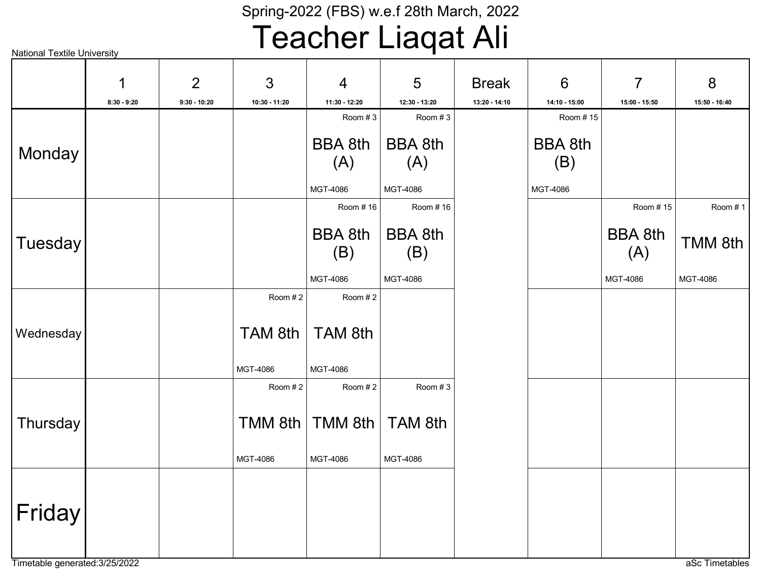## Teacher Liaqat Ali

|           | 1             | 2              | 3             | $\overline{4}$           | 5                        | <b>Break</b>  | $6\phantom{1}6$           | $\overline{7}$ | 8             |
|-----------|---------------|----------------|---------------|--------------------------|--------------------------|---------------|---------------------------|----------------|---------------|
|           | $8:30 - 9:20$ | $9:30 - 10:20$ | 10:30 - 11:20 | 11:30 - 12:20<br>Room #3 | 12:30 - 13:20<br>Room #3 | 13:20 - 14:10 | 14:10 - 15:00<br>Room #15 | 15:00 - 15:50  | 15:50 - 16:40 |
|           |               |                |               |                          |                          |               |                           |                |               |
|           |               |                |               | <b>BBA 8th</b>           | <b>BBA 8th</b>           |               | <b>BBA 8th</b>            |                |               |
| Monday    |               |                |               | (A)                      | (A)                      |               | (B)                       |                |               |
|           |               |                |               |                          |                          |               |                           |                |               |
|           |               |                |               | MGT-4086                 | MGT-4086                 |               | MGT-4086                  |                |               |
|           |               |                |               | Room #16                 | Room #16                 |               |                           | Room #15       | Room #1       |
|           |               |                |               | <b>BBA 8th</b>           | <b>BBA 8th</b>           |               |                           | <b>BBA 8th</b> |               |
| Tuesday   |               |                |               | (B)                      | (B)                      |               |                           | (A)            | TMM 8th       |
|           |               |                |               |                          |                          |               |                           |                |               |
|           |               |                |               | MGT-4086                 | MGT-4086                 |               |                           | MGT-4086       | MGT-4086      |
|           |               |                | Room #2       | Room #2                  |                          |               |                           |                |               |
|           |               |                |               |                          |                          |               |                           |                |               |
| Wednesday |               |                | TAM 8th       | TAM 8th                  |                          |               |                           |                |               |
|           |               |                |               |                          |                          |               |                           |                |               |
|           |               |                | MGT-4086      | MGT-4086                 |                          |               |                           |                |               |
|           |               |                | Room #2       | Room #2                  | Room #3                  |               |                           |                |               |
|           |               |                |               |                          |                          |               |                           |                |               |
| Thursday  |               |                | TMM 8th       | TMM 8th                  | TAM 8th                  |               |                           |                |               |
|           |               |                |               |                          |                          |               |                           |                |               |
|           |               |                | MGT-4086      | MGT-4086                 | MGT-4086                 |               |                           |                |               |
|           |               |                |               |                          |                          |               |                           |                |               |
|           |               |                |               |                          |                          |               |                           |                |               |
| Friday    |               |                |               |                          |                          |               |                           |                |               |
|           |               |                |               |                          |                          |               |                           |                |               |
|           |               |                |               |                          |                          |               |                           |                |               |
|           |               |                |               |                          |                          |               |                           |                |               |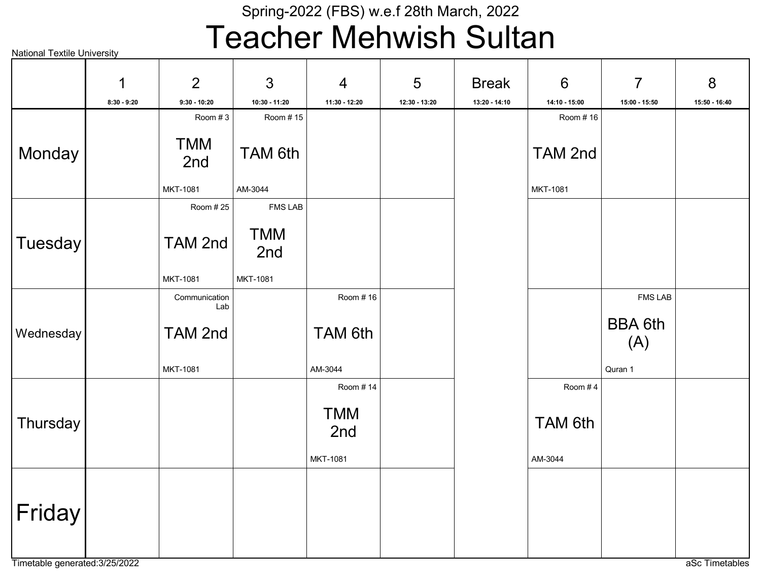## Teacher Mehwish Sultan

|           | 1             | $\overline{2}$       | $\mathbf{3}$      | $\overline{4}$    | 5             | <b>Break</b>  | $6\phantom{1}$ | $\overline{7}$        | 8             |
|-----------|---------------|----------------------|-------------------|-------------------|---------------|---------------|----------------|-----------------------|---------------|
|           | $8:30 - 9:20$ | $9:30 - 10:20$       | 10:30 - 11:20     | 11:30 - 12:20     | 12:30 - 13:20 | 13:20 - 14:10 | 14:10 - 15:00  | 15:00 - 15:50         | 15:50 - 16:40 |
|           |               | Room #3              | Room #15          |                   |               |               | Room #16       |                       |               |
| Monday    |               | <b>TMM</b><br>2nd    | TAM 6th           |                   |               |               | TAM 2nd        |                       |               |
|           |               | MKT-1081             | AM-3044           |                   |               |               | MKT-1081       |                       |               |
|           |               | Room #25             | <b>FMS LAB</b>    |                   |               |               |                |                       |               |
| Tuesday   |               | TAM 2nd              | <b>TMM</b><br>2nd |                   |               |               |                |                       |               |
|           |               | MKT-1081             | MKT-1081          |                   |               |               |                |                       |               |
|           |               | Communication<br>Lab |                   | Room # 16         |               |               |                | <b>FMS LAB</b>        |               |
| Wednesday |               | TAM 2nd              |                   | TAM 6th           |               |               |                | <b>BBA 6th</b><br>(A) |               |
|           |               | MKT-1081             |                   | AM-3044           |               |               |                | Quran 1               |               |
|           |               |                      |                   | Room #14          |               |               | Room #4        |                       |               |
| Thursday  |               |                      |                   | <b>TMM</b><br>2nd |               |               | TAM 6th        |                       |               |
|           |               |                      |                   | MKT-1081          |               |               | AM-3044        |                       |               |
| Friday    |               |                      |                   |                   |               |               |                |                       |               |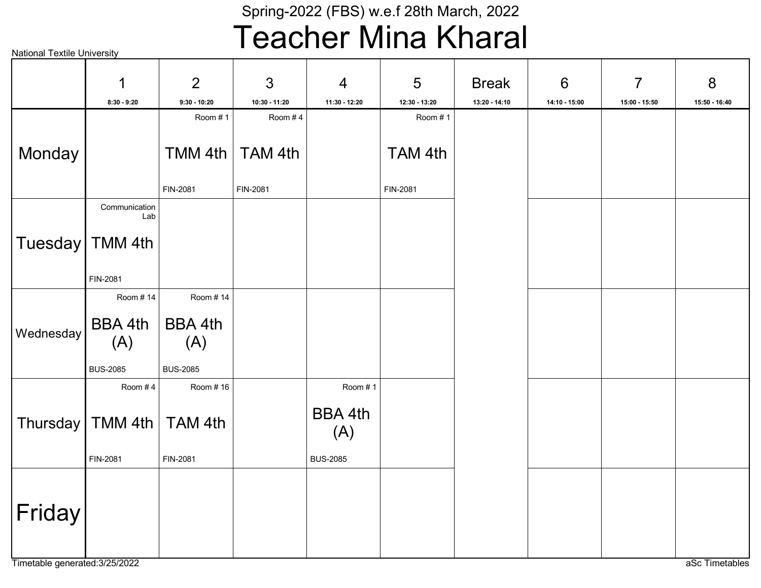## Teacher Mina Kharal

|                 | 1                      | 2               | 3             | $\overline{4}$        | 5             | <b>Break</b>  | $6\phantom{1}6$ | $\overline{7}$ | 8             |
|-----------------|------------------------|-----------------|---------------|-----------------------|---------------|---------------|-----------------|----------------|---------------|
|                 | $8:30 - 9:20$          | $9:30 - 10:20$  | 10:30 - 11:20 | 11:30 - 12:20         | 12:30 - 13:20 | 13:20 - 14:10 | 14:10 - 15:00   | 15:00 - 15:50  | 15:50 - 16:40 |
|                 |                        | Room #1         | Room #4       |                       | Room #1       |               |                 |                |               |
| Monday          |                        | TMM 4th         | TAM 4th       |                       | TAM 4th       |               |                 |                |               |
|                 |                        | FIN-2081        | FIN-2081      |                       | FIN-2081      |               |                 |                |               |
|                 | Communication<br>Lab   |                 |               |                       |               |               |                 |                |               |
| Tuesday TMM 4th |                        |                 |               |                       |               |               |                 |                |               |
|                 | FIN-2081               |                 |               |                       |               |               |                 |                |               |
|                 | Room #14               | Room #14        |               |                       |               |               |                 |                |               |
| Wednesday       | BBA 4th<br>(A)         | BBA 4th<br>(A)  |               |                       |               |               |                 |                |               |
|                 | <b>BUS-2085</b>        | <b>BUS-2085</b> |               |                       |               |               |                 |                |               |
|                 | Room #4                | Room #16        |               | Room #1               |               |               |                 |                |               |
|                 | Thursday   TMM 4th $ $ | TAM 4th         |               | <b>BBA 4th</b><br>(A) |               |               |                 |                |               |
|                 | FIN-2081               | FIN-2081        |               | <b>BUS-2085</b>       |               |               |                 |                |               |
| Friday          |                        |                 |               |                       |               |               |                 |                |               |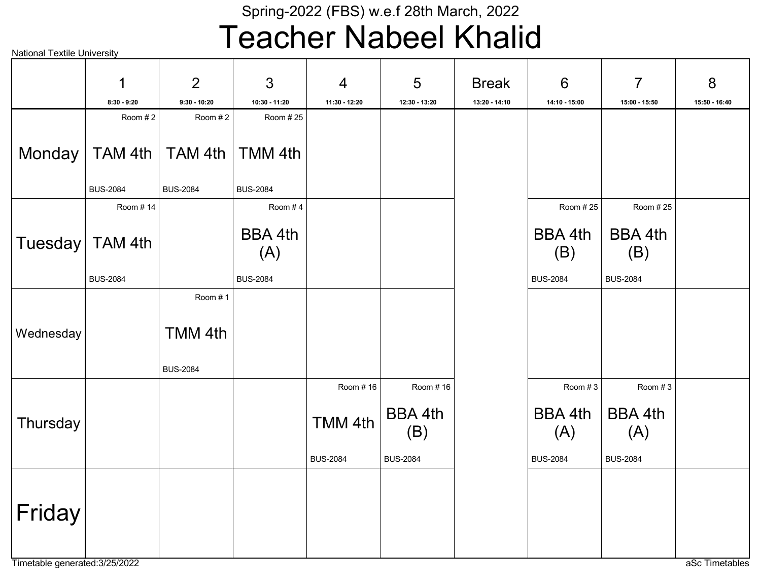## Teacher Nabeel Khalid

|                   | 1               | 2               | 3               | $\overline{4}$  | 5                     | <b>Break</b>  | $6\phantom{1}$  | $\overline{7}$        | 8             |
|-------------------|-----------------|-----------------|-----------------|-----------------|-----------------------|---------------|-----------------|-----------------------|---------------|
|                   | $8:30 - 9:20$   | $9:30 - 10:20$  | 10:30 - 11:20   | 11:30 - 12:20   | 12:30 - 13:20         | 13:20 - 14:10 | 14:10 - 15:00   | 15:00 - 15:50         | 15:50 - 16:40 |
|                   | Room #2         | Room #2         | Room #25        |                 |                       |               |                 |                       |               |
| Monday            | $TAM$ 4th $ $   | TAM 4th         | TMM 4th         |                 |                       |               |                 |                       |               |
|                   | <b>BUS-2084</b> | <b>BUS-2084</b> | <b>BUS-2084</b> |                 |                       |               |                 |                       |               |
|                   | Room #14        |                 | Room #4         |                 |                       |               | Room #25        | Room #25              |               |
| Tuesday   TAM 4th |                 |                 | BBA 4th<br>(A)  |                 |                       |               | BBA 4th<br>(B)  | BBA 4th<br>(B)        |               |
|                   | <b>BUS-2084</b> |                 | <b>BUS-2084</b> |                 |                       |               | <b>BUS-2084</b> | <b>BUS-2084</b>       |               |
|                   |                 | Room #1         |                 |                 |                       |               |                 |                       |               |
| Wednesday         |                 | TMM 4th         |                 |                 |                       |               |                 |                       |               |
|                   |                 | <b>BUS-2084</b> |                 |                 |                       |               |                 |                       |               |
|                   |                 |                 |                 | Room #16        | Room #16              |               | Room #3         | Room #3               |               |
| Thursday          |                 |                 |                 | TMM 4th         | <b>BBA 4th</b><br>(B) |               | BBA 4th<br>(A)  | <b>BBA 4th</b><br>(A) |               |
|                   |                 |                 |                 | <b>BUS-2084</b> | <b>BUS-2084</b>       |               | <b>BUS-2084</b> | <b>BUS-2084</b>       |               |
| Friday            |                 |                 |                 |                 |                       |               |                 |                       |               |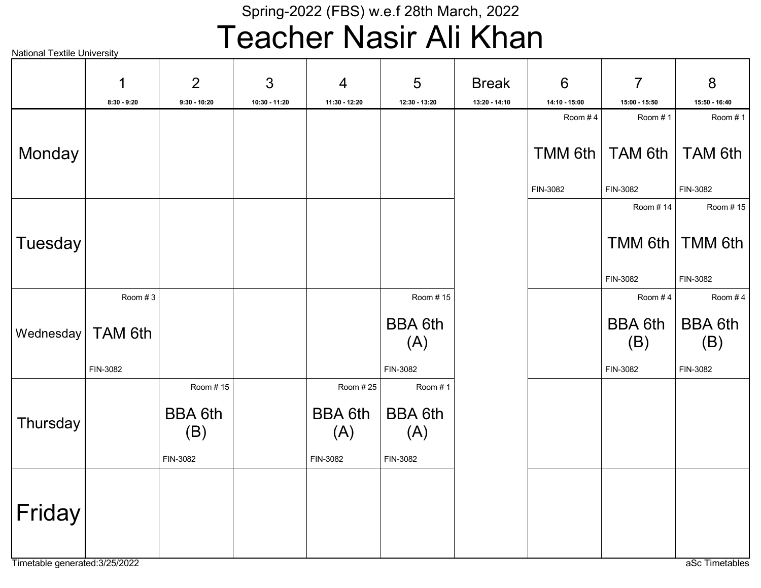## Teacher Nasir Ali Khan

|  | <b>National Textile University</b> |
|--|------------------------------------|
|  |                                    |

|           | 1             | 2                                 | 3             | $\overline{4}$                    | 5                                 | <b>Break</b>  | $6\phantom{1}$ | $\overline{7}$        | 8                     |
|-----------|---------------|-----------------------------------|---------------|-----------------------------------|-----------------------------------|---------------|----------------|-----------------------|-----------------------|
|           | $8:30 - 9:20$ | $9:30 - 10:20$                    | 10:30 - 11:20 | 11:30 - 12:20                     | 12:30 - 13:20                     | 13:20 - 14:10 | 14:10 - 15:00  | 15:00 - 15:50         | 15:50 - 16:40         |
|           |               |                                   |               |                                   |                                   |               | Room #4        | Room #1               | Room #1               |
| Monday    |               |                                   |               |                                   |                                   |               | $TMM$ 6th      | TAM 6th               | TAM 6th               |
|           |               |                                   |               |                                   |                                   |               | FIN-3082       | FIN-3082              | FIN-3082              |
|           |               |                                   |               |                                   |                                   |               |                | Room #14              | Room #15              |
| Tuesday   |               |                                   |               |                                   |                                   |               |                |                       | TMM 6th   TMM 6th     |
|           |               |                                   |               |                                   |                                   |               |                | FIN-3082              | FIN-3082              |
|           | Room #3       |                                   |               |                                   | Room #15                          |               |                | Room #4               | Room #4               |
| Wednesday | TAM 6th       |                                   |               |                                   | <b>BBA 6th</b><br>(A)             |               |                | <b>BBA 6th</b><br>(B) | <b>BBA 6th</b><br>(B) |
|           | FIN-3082      |                                   |               |                                   | FIN-3082                          |               |                | FIN-3082              | FIN-3082              |
|           |               | Room #15                          |               | Room # 25                         | Room #1                           |               |                |                       |                       |
| Thursday  |               | <b>BBA 6th</b><br>(B)<br>FIN-3082 |               | <b>BBA 6th</b><br>(A)<br>FIN-3082 | <b>BBA 6th</b><br>(A)<br>FIN-3082 |               |                |                       |                       |
| Friday    |               |                                   |               |                                   |                                   |               |                |                       |                       |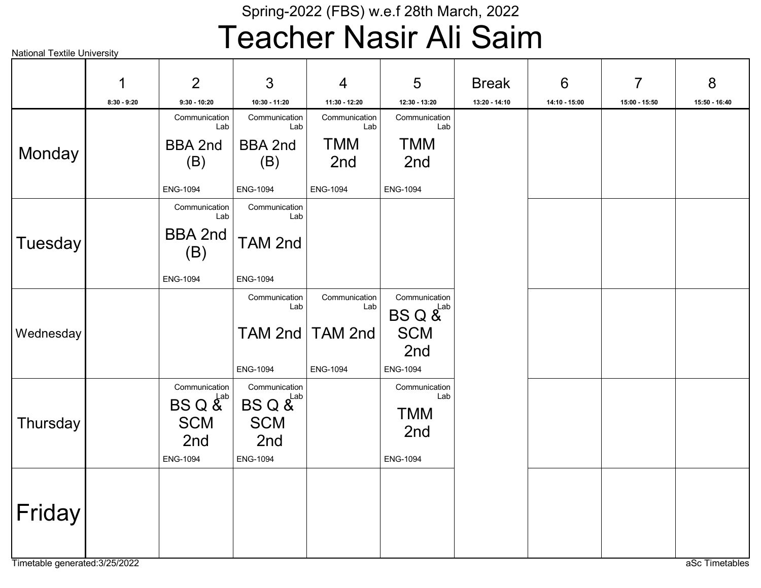## Teacher Nasir Ali Saim

|           | 1             | 2                                                                                      | 3                                                                  | $\overline{4}$       | 5                                                            | <b>Break</b>  | $6\phantom{1}6$ | $\overline{7}$ | 8             |
|-----------|---------------|----------------------------------------------------------------------------------------|--------------------------------------------------------------------|----------------------|--------------------------------------------------------------|---------------|-----------------|----------------|---------------|
|           | $8:30 - 9:20$ | $9:30 - 10:20$                                                                         | 10:30 - 11:20                                                      | 11:30 - 12:20        | 12:30 - 13:20                                                | 13:20 - 14:10 | 14:10 - 15:00   | 15:00 - 15:50  | 15:50 - 16:40 |
|           |               | Communication<br>Lab                                                                   | Communication<br>Lab                                               | Communication<br>Lab | Communication<br>Lab                                         |               |                 |                |               |
| Monday    |               | <b>BBA 2nd</b><br>(B)                                                                  | <b>BBA 2nd</b><br>(B)                                              | <b>TMM</b><br>2nd    | <b>TMM</b><br>2nd                                            |               |                 |                |               |
|           |               | <b>ENG-1094</b>                                                                        | <b>ENG-1094</b>                                                    | <b>ENG-1094</b>      | <b>ENG-1094</b>                                              |               |                 |                |               |
|           |               | Communication<br>Lab                                                                   | Communication<br>Lab                                               |                      |                                                              |               |                 |                |               |
| Tuesday   |               | <b>BBA 2nd</b><br>(B)                                                                  | TAM 2nd                                                            |                      |                                                              |               |                 |                |               |
|           |               | <b>ENG-1094</b>                                                                        | <b>ENG-1094</b>                                                    |                      |                                                              |               |                 |                |               |
|           |               |                                                                                        | Communication<br>Lab                                               | Communication<br>Lab | Communication<br>$BS \ Q \ \textup{\AA}^{\textup{Lab}}$      |               |                 |                |               |
| Wednesday |               |                                                                                        |                                                                    | TAM 2nd   TAM 2nd    | <b>SCM</b>                                                   |               |                 |                |               |
|           |               |                                                                                        | <b>ENG-1094</b>                                                    | <b>ENG-1094</b>      | 2nd<br>ENG-1094                                              |               |                 |                |               |
| Thursday  |               | Communication<br>$BSQ \overset{\text{Lab}}{A}$<br><b>SCM</b><br>2nd<br><b>ENG-1094</b> | Communication<br>BS Q &Lab<br><b>SCM</b><br>2nd<br><b>ENG-1094</b> |                      | Communication<br>Lab<br><b>TMM</b><br>2nd<br><b>ENG-1094</b> |               |                 |                |               |
| Friday    |               |                                                                                        |                                                                    |                      |                                                              |               |                 |                |               |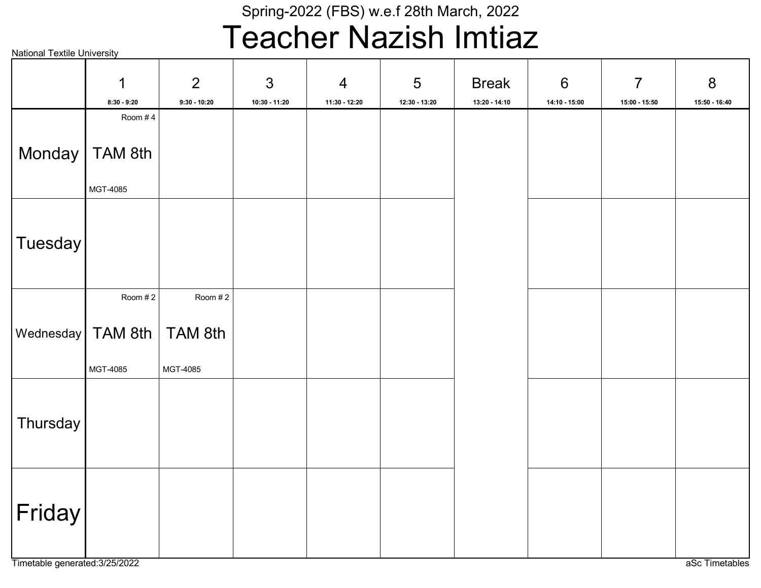## Teacher Nazish Imtiaz

|                                           | 1<br>8:30 - 9:20                        | $\overline{2}$<br>$9:30 - 10:20$ | $\mathfrak{S}$<br>10:30 - 11:20 | $\overline{4}$<br>11:30 - 12:20 | $\overline{5}$<br>12:30 - 13:20 | <b>Break</b><br>13:20 - 14:10 | $6\,$<br>14:10 - 15:00 | $\overline{7}$<br>15:00 - 15:50 | 8<br>$15:50 - 16:40$ |
|-------------------------------------------|-----------------------------------------|----------------------------------|---------------------------------|---------------------------------|---------------------------------|-------------------------------|------------------------|---------------------------------|----------------------|
|                                           | Room #4<br>Monday   TAM 8th<br>MGT-4085 |                                  |                                 |                                 |                                 |                               |                        |                                 |                      |
| Tuesday                                   |                                         |                                  |                                 |                                 |                                 |                               |                        |                                 |                      |
| $\vert$ Wednesday $\vert$ TAM 8th $\vert$ | Room #2<br>MGT-4085                     | Room #2<br>TAM 8th<br>MGT-4085   |                                 |                                 |                                 |                               |                        |                                 |                      |
| Thursday                                  |                                         |                                  |                                 |                                 |                                 |                               |                        |                                 |                      |
| Friday                                    |                                         |                                  |                                 |                                 |                                 |                               |                        |                                 |                      |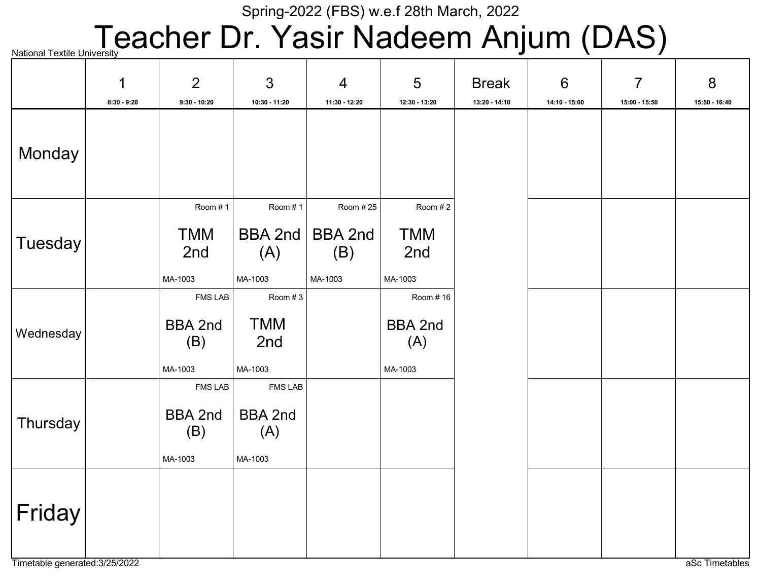# National Textile University **CACHET Dr. Yasir Nadeem Anjum (DAS)**

|           | 1             | 2                                | $\mathfrak{S}$                   | $\overline{4}$        | 5                     | <b>Break</b>  | $6\phantom{1}6$ | $\overline{7}$ | 8             |
|-----------|---------------|----------------------------------|----------------------------------|-----------------------|-----------------------|---------------|-----------------|----------------|---------------|
|           | $8:30 - 9:20$ | $9:30 - 10:20$                   | $10:30 - 11:20$                  | 11:30 - 12:20         | 12:30 - 13:20         | 13:20 - 14:10 | $14:10 - 15:00$ | 15:00 - 15:50  | 15:50 - 16:40 |
| Monday    |               |                                  |                                  |                       |                       |               |                 |                |               |
|           |               | Room #1                          | Room #1                          | Room # 25             | Room #2               |               |                 |                |               |
| Tuesday   |               | <b>TMM</b><br>2nd                | <b>BBA 2nd</b><br>(A)            | <b>BBA 2nd</b><br>(B) | <b>TMM</b><br>2nd     |               |                 |                |               |
|           |               | MA-1003                          | MA-1003                          | MA-1003               | MA-1003               |               |                 |                |               |
|           |               | <b>FMS LAB</b>                   | Room #3                          |                       | Room #16              |               |                 |                |               |
| Wednesday |               | <b>BBA 2nd</b><br>(B)            | <b>TMM</b><br>2nd                |                       | <b>BBA 2nd</b><br>(A) |               |                 |                |               |
|           |               | MA-1003                          | MA-1003                          |                       | MA-1003               |               |                 |                |               |
|           |               | <b>FMS LAB</b><br><b>BBA 2nd</b> | <b>FMS LAB</b><br><b>BBA 2nd</b> |                       |                       |               |                 |                |               |
| Thursday  |               | (B)                              | (A)                              |                       |                       |               |                 |                |               |
|           |               | MA-1003                          | MA-1003                          |                       |                       |               |                 |                |               |
| Friday    |               |                                  |                                  |                       |                       |               |                 |                |               |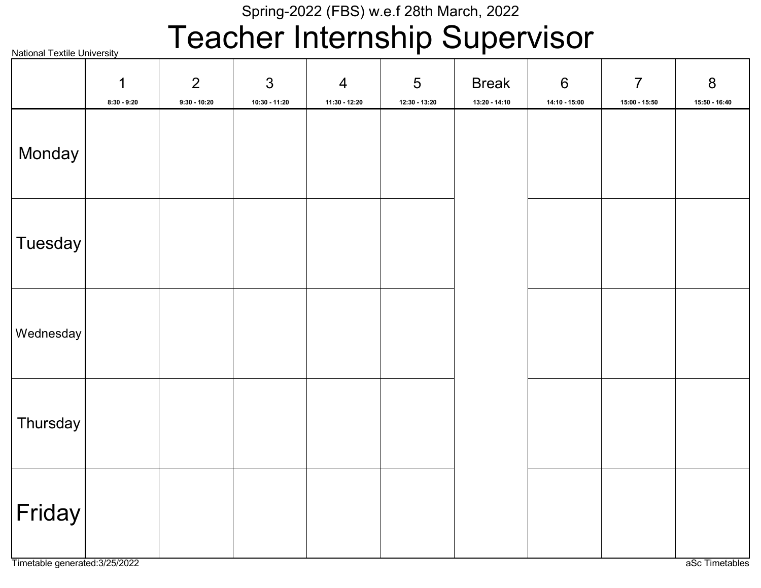## Teacher Internship Supervisor

| <b>National Textile University</b> |                    |                                  | . .                               | . <b>.</b>                      |                      | $\mathbf{v}$                  | $\sim$ .                          |                                   |                            |
|------------------------------------|--------------------|----------------------------------|-----------------------------------|---------------------------------|----------------------|-------------------------------|-----------------------------------|-----------------------------------|----------------------------|
|                                    | 1<br>$8:30 - 9:20$ | $\overline{2}$<br>$9:30 - 10:20$ | $\mathfrak{S}$<br>$10:30 - 11:20$ | $\overline{4}$<br>11:30 - 12:20 | 5<br>$12:30 - 13:20$ | <b>Break</b><br>13:20 - 14:10 | $6\phantom{1}$<br>$14:10 - 15:00$ | $\overline{7}$<br>$15:00 - 15:50$ | $\bf 8$<br>$15:50 - 16:40$ |
| Monday                             |                    |                                  |                                   |                                 |                      |                               |                                   |                                   |                            |
| Tuesday                            |                    |                                  |                                   |                                 |                      |                               |                                   |                                   |                            |
| Wednesday                          |                    |                                  |                                   |                                 |                      |                               |                                   |                                   |                            |
| Thursday                           |                    |                                  |                                   |                                 |                      |                               |                                   |                                   |                            |
| $ \mathsf{Friday} $                |                    |                                  |                                   |                                 |                      |                               |                                   |                                   |                            |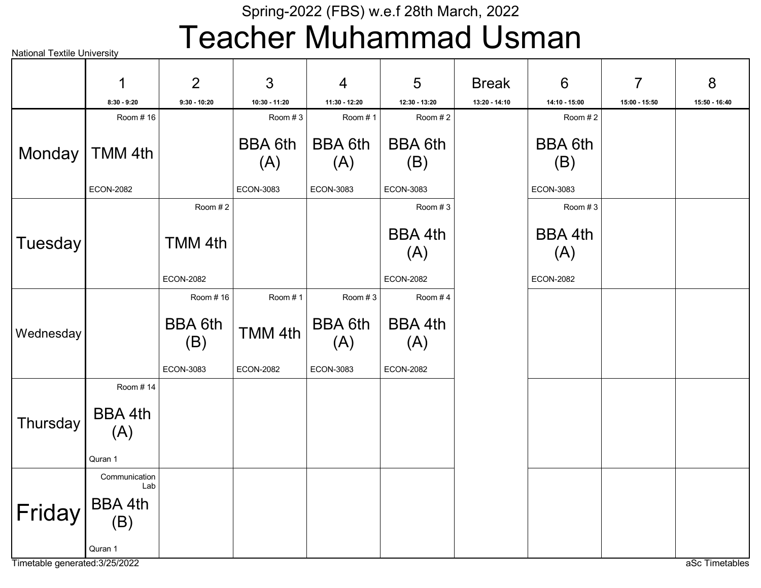## Teacher Muhammad Usman

National Textile University

|           | $\mathbf 1$                            | 2                     | 3                     | $\overline{4}$        | 5                     | <b>Break</b>  | $6\phantom{1}6$       | $\overline{7}$ | 8             |
|-----------|----------------------------------------|-----------------------|-----------------------|-----------------------|-----------------------|---------------|-----------------------|----------------|---------------|
|           | $8:30 - 9:20$                          | $9:30 - 10:20$        | 10:30 - 11:20         | 11:30 - 12:20         | 12:30 - 13:20         | 13:20 - 14:10 | 14:10 - 15:00         | 15:00 - 15:50  | 15:50 - 16:40 |
|           | Room #16                               |                       | Room #3               | Room #1               | Room #2               |               | Room #2               |                |               |
| Monday    | TMM 4th                                |                       | <b>BBA 6th</b><br>(A) | BBA 6th<br>(A)        | <b>BBA 6th</b><br>(B) |               | <b>BBA 6th</b><br>(B) |                |               |
|           | <b>ECON-2082</b>                       |                       | ECON-3083             | ECON-3083             | ECON-3083             |               | ECON-3083             |                |               |
|           |                                        | Room #2               |                       |                       | Room #3               |               | Room #3               |                |               |
| Tuesday   |                                        | TMM 4th               |                       |                       | <b>BBA 4th</b><br>(A) |               | BBA 4th<br>(A)        |                |               |
|           |                                        | <b>ECON-2082</b>      |                       |                       | <b>ECON-2082</b>      |               | <b>ECON-2082</b>      |                |               |
|           |                                        | Room #16              | Room #1               | Room #3               | Room #4               |               |                       |                |               |
| Wednesday |                                        | <b>BBA 6th</b><br>(B) | TMM 4th               | <b>BBA 6th</b><br>(A) | <b>BBA 4th</b><br>(A) |               |                       |                |               |
|           |                                        | <b>ECON-3083</b>      | <b>ECON-2082</b>      | ECON-3083             | <b>ECON-2082</b>      |               |                       |                |               |
|           | Room #14                               |                       |                       |                       |                       |               |                       |                |               |
| Thursday  | BBA 4th<br>(A)                         |                       |                       |                       |                       |               |                       |                |               |
|           | Quran 1                                |                       |                       |                       |                       |               |                       |                |               |
| Friday    | Communication<br>Lab<br><b>BBA 4th</b> |                       |                       |                       |                       |               |                       |                |               |
|           | (B)<br>Quran 1                         |                       |                       |                       |                       |               |                       |                |               |

Timetable generated:3/25/2022 and and and all the control of the control of the control of the control of the control of the control of the control of the control of the control of the control of the control of the control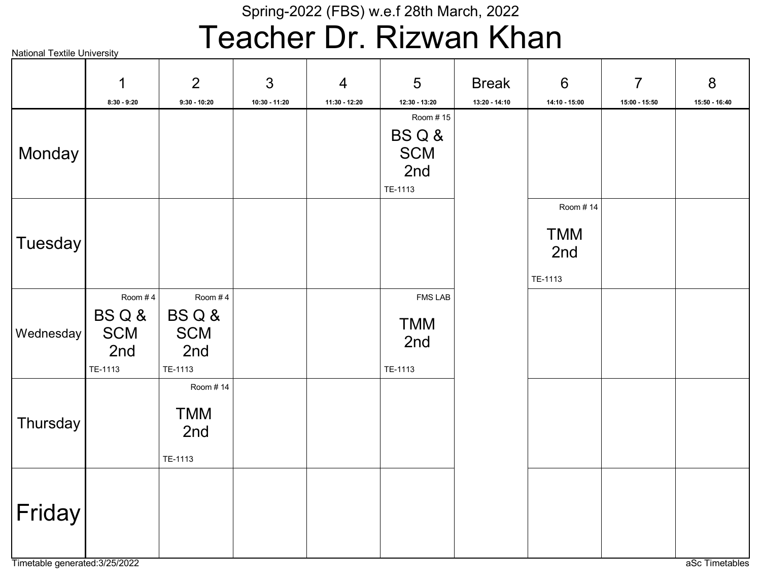# Teacher Dr. Rizwan Khan

|                | 1                                               | 2                                               | $\mathfrak{S}$ | $\overline{4}$ | 5                                                | <b>Break</b>  | $6\phantom{1}$                           | $\overline{7}$ | 8             |
|----------------|-------------------------------------------------|-------------------------------------------------|----------------|----------------|--------------------------------------------------|---------------|------------------------------------------|----------------|---------------|
|                | $8:30 - 9:20$                                   | $9:30 - 10:20$                                  | 10:30 - 11:20  | 11:30 - 12:20  | 12:30 - 13:20                                    | 13:20 - 14:10 | 14:10 - 15:00                            | 15:00 - 15:50  | 15:50 - 16:40 |
| Monday         |                                                 |                                                 |                |                | Room #15<br>BSQ&<br><b>SCM</b><br>2nd<br>TE-1113 |               |                                          |                |               |
| <b>Tuesday</b> |                                                 |                                                 |                |                |                                                  |               | Room #14<br><b>TMM</b><br>2nd<br>TE-1113 |                |               |
| Wednesday      | Room #4<br>BSQ&<br><b>SCM</b><br>2nd<br>TE-1113 | Room #4<br>BSQ&<br><b>SCM</b><br>2nd<br>TE-1113 |                |                | <b>FMS LAB</b><br><b>TMM</b><br>2nd<br>TE-1113   |               |                                          |                |               |
| Thursday       |                                                 | Room # 14<br><b>TMM</b><br>2nd<br>TE-1113       |                |                |                                                  |               |                                          |                |               |
| Friday         |                                                 |                                                 |                |                |                                                  |               |                                          |                |               |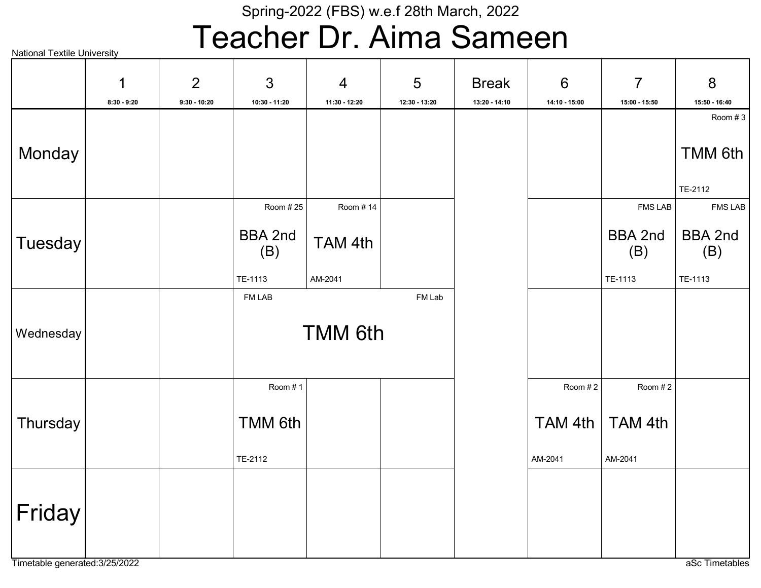## Teacher Dr. Aima Sameen

|           | 1             | $\overline{2}$ | $\mathfrak{S}$ | $\overline{4}$ | 5             | <b>Break</b>  | $6\phantom{1}$ | $\overline{7}$        | $8\phantom{1}$        |
|-----------|---------------|----------------|----------------|----------------|---------------|---------------|----------------|-----------------------|-----------------------|
|           | $8:30 - 9:20$ | $9:30 - 10:20$ | 10:30 - 11:20  | 11:30 - 12:20  | 12:30 - 13:20 | 13:20 - 14:10 | 14:10 - 15:00  | 15:00 - 15:50         | 15:50 - 16:40         |
| Monday    |               |                |                |                |               |               |                |                       | Room # $3$<br>TMM 6th |
|           |               |                |                |                |               |               |                |                       | TE-2112               |
|           |               |                | Room #25       | Room #14       |               |               |                | <b>FMS LAB</b>        | <b>FMS LAB</b>        |
| Tuesday   |               |                | BBA 2nd<br>(B) | TAM 4th        |               |               |                | <b>BBA 2nd</b><br>(B) | <b>BBA 2nd</b><br>(B) |
|           |               |                | TE-1113        | AM-2041        |               |               |                | TE-1113               | TE-1113               |
|           |               |                | FM LAB         |                | FM Lab        |               |                |                       |                       |
| Wednesday |               |                |                | <b>TMM 6th</b> |               |               |                |                       |                       |
|           |               |                | Room #1        |                |               |               | Room #2        | Room #2               |                       |
| Thursday  |               |                | <b>TMM 6th</b> |                |               |               | TAM 4th        | TAM 4th               |                       |
|           |               |                | TE-2112        |                |               |               | AM-2041        | AM-2041               |                       |
| Friday    |               |                |                |                |               |               |                |                       |                       |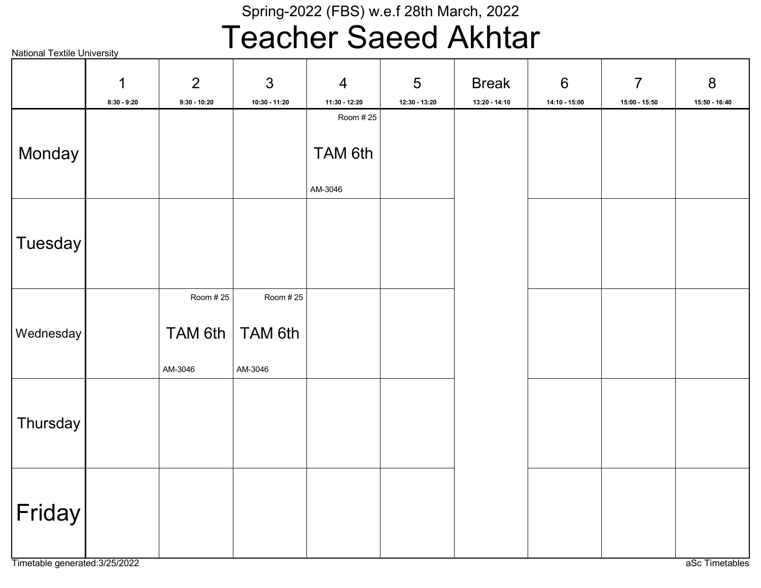## Teacher Saeed Akhtar

|                | 1             | $\overline{2}$                  | 3                              | $\overline{4}$     | 5               | <b>Break</b>    | $\boldsymbol{6}$ | $\overline{7}$  | 8             |
|----------------|---------------|---------------------------------|--------------------------------|--------------------|-----------------|-----------------|------------------|-----------------|---------------|
|                | $8:30 - 9:20$ | $9:30 - 10:20$                  | 10:30 - 11:20                  | 11:30 - 12:20      | $12:30 - 13:20$ | $13:20 - 14:10$ | $14:10 - 15:00$  | $15:00 - 15:50$ | 15:50 - 16:40 |
|                |               |                                 |                                | Room # 25          |                 |                 |                  |                 |               |
| Monday         |               |                                 |                                | TAM 6th<br>AM-3046 |                 |                 |                  |                 |               |
| <b>Tuesday</b> |               |                                 |                                |                    |                 |                 |                  |                 |               |
| Wednesday      |               | Room # 25<br>TAM 6th<br>AM-3046 | Room #25<br>TAM 6th<br>AM-3046 |                    |                 |                 |                  |                 |               |
| Thursday       |               |                                 |                                |                    |                 |                 |                  |                 |               |
| Friday         |               |                                 |                                |                    |                 |                 |                  |                 |               |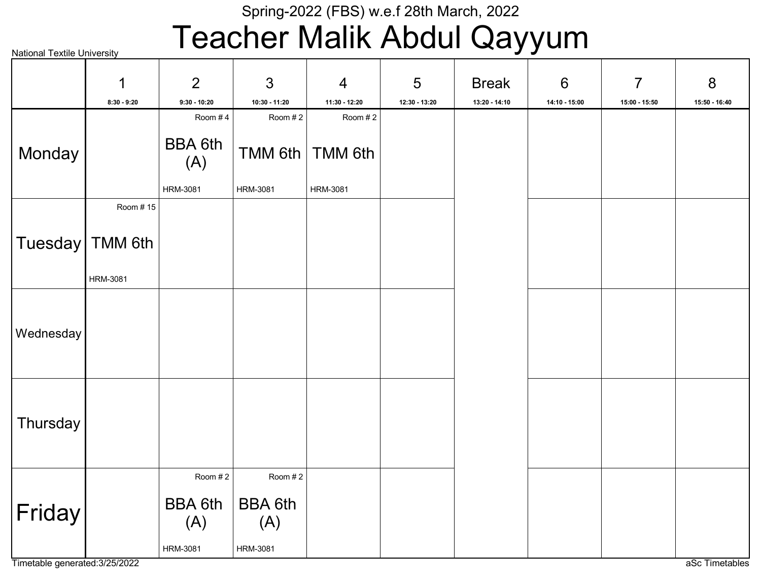## Teacher Malik Abdul Qayyum

| <b>National Textile University</b> |                   |                       |                       |                 |               | - -<br>$\sim$ $\sim$ $\sim$ $\sim$ | $\sim$ $\sim$ $\sim$ $\sim$ |                |               |
|------------------------------------|-------------------|-----------------------|-----------------------|-----------------|---------------|------------------------------------|-----------------------------|----------------|---------------|
|                                    | 1                 | $\overline{2}$        | $\mathfrak{S}$        | $\overline{4}$  | 5             | <b>Break</b>                       | $6\phantom{1}6$             | $\overline{7}$ | 8             |
|                                    | $8:30 - 9:20$     | $9:30 - 10:20$        | 10:30 - 11:20         | 11:30 - 12:20   | 12:30 - 13:20 | 13:20 - 14:10                      | 14:10 - 15:00               | 15:00 - 15:50  | 15:50 - 16:40 |
|                                    |                   | Room #4               | Room #2               | Room #2         |               |                                    |                             |                |               |
| Monday                             |                   | <b>BBA 6th</b><br>(A) | <b>TMM 6th</b>        | <b>TMM 6th</b>  |               |                                    |                             |                |               |
|                                    |                   | <b>HRM-3081</b>       | <b>HRM-3081</b>       | <b>HRM-3081</b> |               |                                    |                             |                |               |
|                                    | Room #15          |                       |                       |                 |               |                                    |                             |                |               |
|                                    | Tuesday   TMM 6th |                       |                       |                 |               |                                    |                             |                |               |
|                                    | <b>HRM-3081</b>   |                       |                       |                 |               |                                    |                             |                |               |
|                                    |                   |                       |                       |                 |               |                                    |                             |                |               |
| Wednesday                          |                   |                       |                       |                 |               |                                    |                             |                |               |
|                                    |                   |                       |                       |                 |               |                                    |                             |                |               |
|                                    |                   |                       |                       |                 |               |                                    |                             |                |               |
| Thursday                           |                   |                       |                       |                 |               |                                    |                             |                |               |
|                                    |                   |                       |                       |                 |               |                                    |                             |                |               |
|                                    |                   | Room #2               | Room #2               |                 |               |                                    |                             |                |               |
| $ \mathsf{Friday} $                |                   | <b>BBA 6th</b><br>(A) | <b>BBA 6th</b><br>(A) |                 |               |                                    |                             |                |               |
|                                    |                   | HRM-3081              | HRM-3081              |                 |               |                                    |                             |                |               |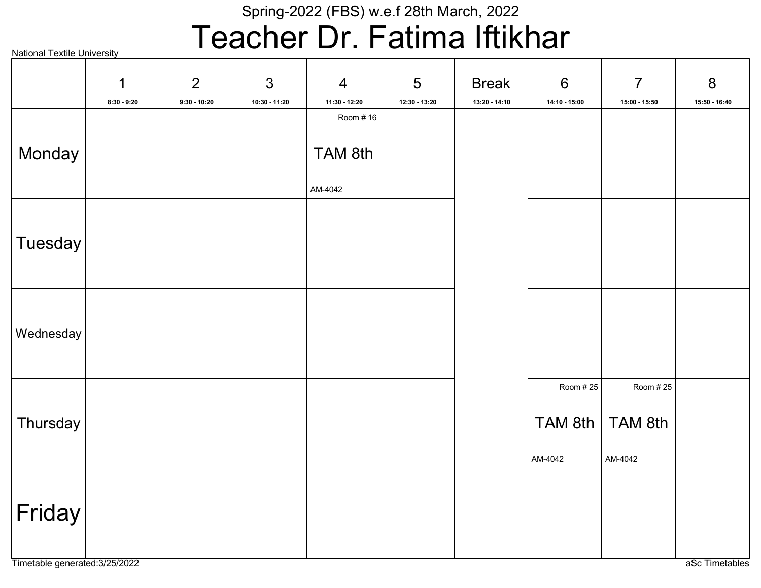# Teacher Dr. Fatima Iftikhar

|                     | 1             | $\overline{2}$ | $\mathfrak{S}$ | $\overline{4}$ | 5             | <b>Break</b>  | $6\,$         | $\overline{7}$ | $8\phantom{1}$ |
|---------------------|---------------|----------------|----------------|----------------|---------------|---------------|---------------|----------------|----------------|
|                     | $8:30 - 9:20$ | $9:30 - 10:20$ | 10:30 - 11:20  | 11:30 - 12:20  | 12:30 - 13:20 | 13:20 - 14:10 | 14:10 - 15:00 | 15:00 - 15:50  | 15:50 - 16:40  |
|                     |               |                |                | Room # 16      |               |               |               |                |                |
|                     |               |                |                |                |               |               |               |                |                |
| Monday              |               |                |                | TAM 8th        |               |               |               |                |                |
|                     |               |                |                |                |               |               |               |                |                |
|                     |               |                |                | AM-4042        |               |               |               |                |                |
|                     |               |                |                |                |               |               |               |                |                |
|                     |               |                |                |                |               |               |               |                |                |
| $ T$ uesday $ $     |               |                |                |                |               |               |               |                |                |
|                     |               |                |                |                |               |               |               |                |                |
|                     |               |                |                |                |               |               |               |                |                |
|                     |               |                |                |                |               |               |               |                |                |
|                     |               |                |                |                |               |               |               |                |                |
| Wednesday           |               |                |                |                |               |               |               |                |                |
|                     |               |                |                |                |               |               |               |                |                |
|                     |               |                |                |                |               |               |               |                |                |
|                     |               |                |                |                |               |               | Room #25      | Room # 25      |                |
|                     |               |                |                |                |               |               |               |                |                |
| Thursday            |               |                |                |                |               |               | TAM 8th       | TAM 8th        |                |
|                     |               |                |                |                |               |               |               |                |                |
|                     |               |                |                |                |               |               | AM-4042       | AM-4042        |                |
|                     |               |                |                |                |               |               |               |                |                |
|                     |               |                |                |                |               |               |               |                |                |
| $ \mathsf{Friday} $ |               |                |                |                |               |               |               |                |                |
|                     |               |                |                |                |               |               |               |                |                |
|                     |               |                |                |                |               |               |               |                |                |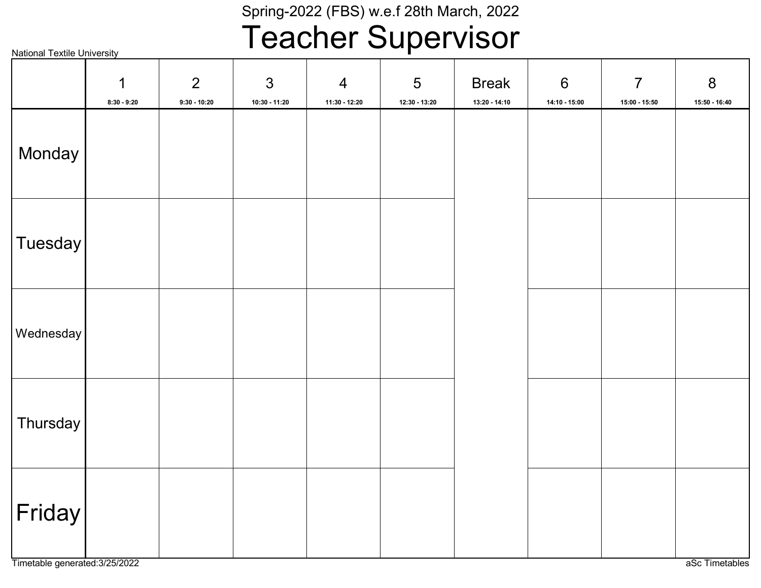# Teacher Supervisor

|  | <b>National Textile University</b> |
|--|------------------------------------|
|  |                                    |

|            | 1<br>$8:30 - 9:20$ | 2<br>$9:30 - 10:20$ | $\mathfrak{S}$<br>$10:30 - 11:20$ | $\overline{4}$<br>11:30 - 12:20 | $\overline{5}$<br>$12:30 - 13:20$ | <b>Break</b><br>$13:20 - 14:10$ | $\boldsymbol{6}$<br>14:10 - 15:00 | $\overline{7}$<br>$15:00 - 15:50$ | $\boldsymbol{8}$<br>15:50 - 16:40 |
|------------|--------------------|---------------------|-----------------------------------|---------------------------------|-----------------------------------|---------------------------------|-----------------------------------|-----------------------------------|-----------------------------------|
| Monday     |                    |                     |                                   |                                 |                                   |                                 |                                   |                                   |                                   |
| Tuesday    |                    |                     |                                   |                                 |                                   |                                 |                                   |                                   |                                   |
| Wednesday  |                    |                     |                                   |                                 |                                   |                                 |                                   |                                   |                                   |
| Thursday   |                    |                     |                                   |                                 |                                   |                                 |                                   |                                   |                                   |
| $ $ Friday |                    |                     |                                   |                                 |                                   |                                 |                                   |                                   |                                   |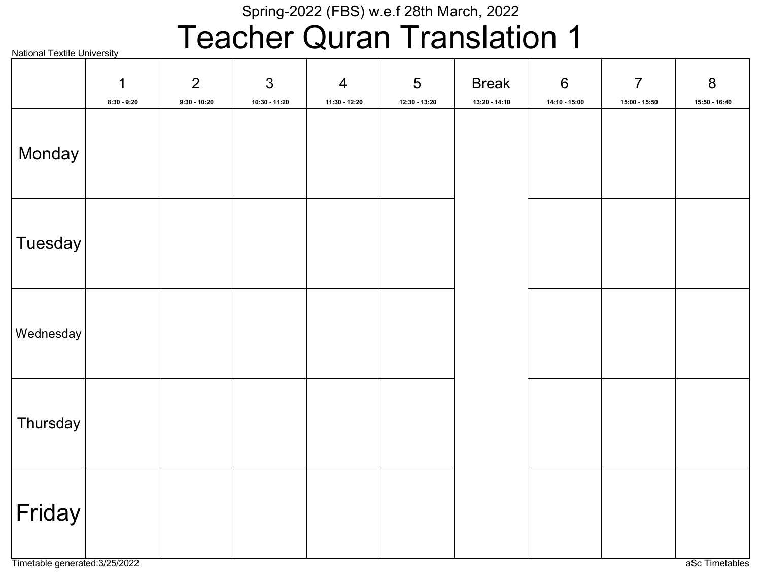# Teacher Quran Translation 1

| <b>National Textile University</b> |                    |                                  | . .                               | $\blacktriangledown$ :<br>—     |                      |                               | . .                      |                                   |                          |
|------------------------------------|--------------------|----------------------------------|-----------------------------------|---------------------------------|----------------------|-------------------------------|--------------------------|-----------------------------------|--------------------------|
|                                    | 1<br>$8:30 - 9:20$ | $\overline{2}$<br>$9:30 - 10:20$ | $\mathfrak{S}$<br>$10:30 - 11:20$ | $\overline{4}$<br>11:30 - 12:20 | 5<br>$12:30 - 13:20$ | <b>Break</b><br>13:20 - 14:10 | $6\,$<br>$14:10 - 15:00$ | $\overline{7}$<br>$15:00 - 15:50$ | $\bf 8$<br>15:50 - 16:40 |
| Monday                             |                    |                                  |                                   |                                 |                      |                               |                          |                                   |                          |
| Tuesday                            |                    |                                  |                                   |                                 |                      |                               |                          |                                   |                          |
| Wednesday                          |                    |                                  |                                   |                                 |                      |                               |                          |                                   |                          |
| Thursday                           |                    |                                  |                                   |                                 |                      |                               |                          |                                   |                          |
| $ \mathsf{Friday} $                |                    |                                  |                                   |                                 |                      |                               |                          |                                   |                          |

Timetable generated:3/25/2022 and a set Timetables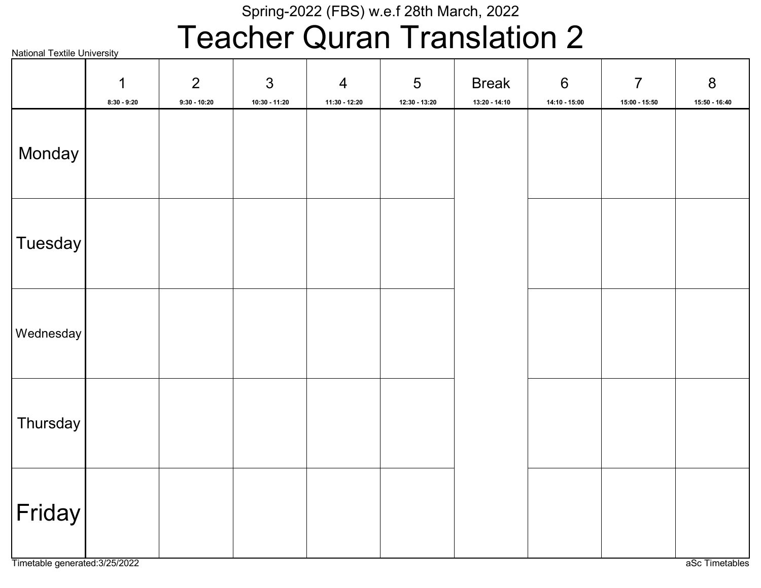# Teacher Quran Translation 2

| <b>National Textile University</b> |                    |                                  | . .                               | ◥<br>. .                        |                                    |                               |                                   |                                 |                                 |
|------------------------------------|--------------------|----------------------------------|-----------------------------------|---------------------------------|------------------------------------|-------------------------------|-----------------------------------|---------------------------------|---------------------------------|
|                                    | 1<br>$8:30 - 9:20$ | $\overline{2}$<br>$9:30 - 10:20$ | $\mathfrak{S}$<br>$10:30 - 11:20$ | $\overline{4}$<br>11:30 - 12:20 | $5\phantom{.0}$<br>$12:30 - 13:20$ | <b>Break</b><br>13:20 - 14:10 | $\boldsymbol{6}$<br>14:10 - 15:00 | $\overline{7}$<br>15:00 - 15:50 | $8\phantom{1}$<br>15:50 - 16:40 |
| Monday                             |                    |                                  |                                   |                                 |                                    |                               |                                   |                                 |                                 |
| Tuesday                            |                    |                                  |                                   |                                 |                                    |                               |                                   |                                 |                                 |
| Wednesday                          |                    |                                  |                                   |                                 |                                    |                               |                                   |                                 |                                 |
| Thursday                           |                    |                                  |                                   |                                 |                                    |                               |                                   |                                 |                                 |
| $ \mathsf{Friday} $                |                    |                                  |                                   |                                 |                                    |                               |                                   |                                 |                                 |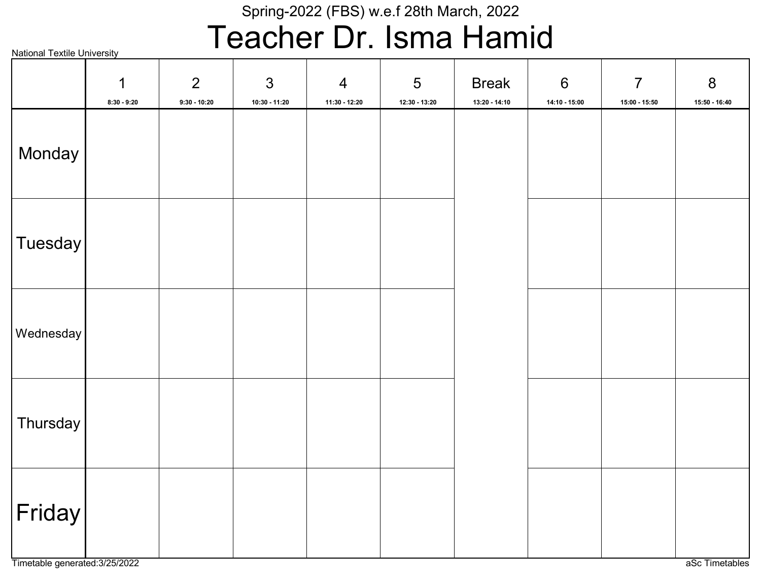## Teacher Dr. Isma Hamid

|                     | $\mathbf 1$<br>$8:30 - 9:20$ | $\overline{2}$<br>$9:30 - 10:20$ | $\mathfrak{S}$<br>10:30 - 11:20 | $\overline{4}$<br>$11:30 - 12:20$ | $\overline{5}$<br>$12:30 - 13:20$ | <b>Break</b><br>13:20 - 14:10 | $\boldsymbol{6}$<br>14:10 - 15:00 | $\overline{7}$<br>$15:00 - 15:50$ | $8\phantom{1}$<br>$15:50 - 16:40$ |
|---------------------|------------------------------|----------------------------------|---------------------------------|-----------------------------------|-----------------------------------|-------------------------------|-----------------------------------|-----------------------------------|-----------------------------------|
| Monday              |                              |                                  |                                 |                                   |                                   |                               |                                   |                                   |                                   |
| Tuesday             |                              |                                  |                                 |                                   |                                   |                               |                                   |                                   |                                   |
| Wednesday           |                              |                                  |                                 |                                   |                                   |                               |                                   |                                   |                                   |
| Thursday            |                              |                                  |                                 |                                   |                                   |                               |                                   |                                   |                                   |
| $ \mathsf{Friday} $ |                              |                                  |                                 |                                   |                                   |                               |                                   |                                   |                                   |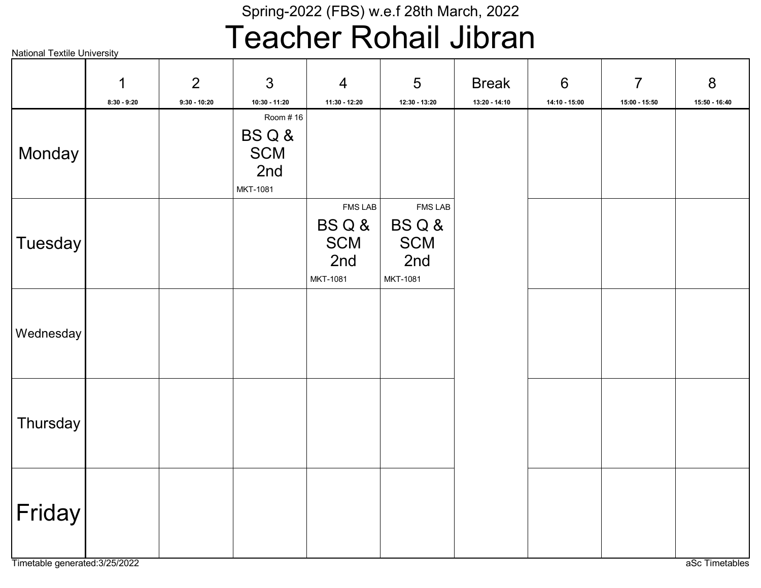## Teacher Rohail Jibran

|  | <b>National Textile University</b> |
|--|------------------------------------|
|  |                                    |

|                | 1             | 2              | $\mathfrak{S}$                                                     | $\overline{4}$                                          | 5                                                       | <b>Break</b>    | $6\,$         | $\overline{7}$ | 8             |
|----------------|---------------|----------------|--------------------------------------------------------------------|---------------------------------------------------------|---------------------------------------------------------|-----------------|---------------|----------------|---------------|
| Monday         | $8:30 - 9:20$ | $9:30 - 10:20$ | 10:30 - 11:20<br>Room #16<br>BSQ&<br><b>SCM</b><br>2nd<br>MKT-1081 | 11:30 - 12:20                                           | 12:30 - 13:20                                           | $13:20 - 14:10$ | 14:10 - 15:00 | 15:00 - 15:50  | 15:50 - 16:40 |
| <b>Tuesday</b> |               |                |                                                                    | <b>FMS LAB</b><br>BSQ&<br><b>SCM</b><br>2nd<br>MKT-1081 | <b>FMS LAB</b><br>BSQ&<br><b>SCM</b><br>2nd<br>MKT-1081 |                 |               |                |               |
| Wednesday      |               |                |                                                                    |                                                         |                                                         |                 |               |                |               |
| Thursday       |               |                |                                                                    |                                                         |                                                         |                 |               |                |               |
| Friday         |               |                |                                                                    |                                                         |                                                         |                 |               |                |               |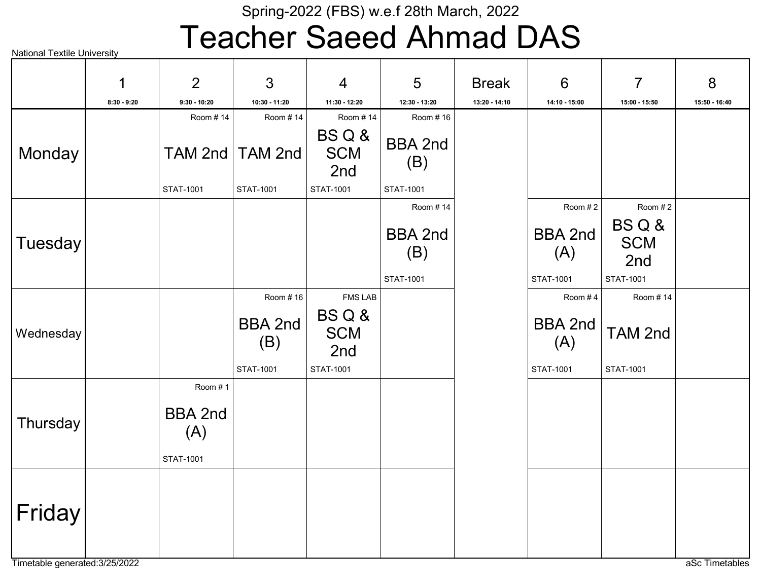## Teacher Saeed Ahmad DAS

|                | 1             | 2                                  | 3                                              | $\overline{4}$                                                  | 5                                  | <b>Break</b>  | 6                                                    | $\overline{7}$                                | 8             |
|----------------|---------------|------------------------------------|------------------------------------------------|-----------------------------------------------------------------|------------------------------------|---------------|------------------------------------------------------|-----------------------------------------------|---------------|
|                | $8:30 - 9:20$ | $9:30 - 10:20$                     | 10:30 - 11:20                                  | 11:30 - 12:20                                                   | 12:30 - 13:20                      | 13:20 - 14:10 | 14:10 - 15:00                                        | 15:00 - 15:50                                 | 15:50 - 16:40 |
|                |               | Room #14                           | Room #14                                       | Room #14                                                        | Room #16                           |               |                                                      |                                               |               |
| Monday         |               | TAM 2nd                            | TAM 2nd                                        | BSQ&<br><b>SCM</b><br>2nd                                       | <b>BBA 2nd</b><br>(B)              |               |                                                      |                                               |               |
|                |               | STAT-1001                          | STAT-1001                                      | STAT-1001                                                       | STAT-1001                          |               |                                                      |                                               |               |
|                |               |                                    |                                                |                                                                 | Room #14                           |               | Room #2                                              | Room #2                                       |               |
| <b>Tuesday</b> |               |                                    |                                                |                                                                 | <b>BBA 2nd</b><br>(B)<br>STAT-1001 |               | <b>BBA 2nd</b><br>(A)<br><b>STAT-1001</b>            | BSQ&<br><b>SCM</b><br>2nd<br><b>STAT-1001</b> |               |
|                |               |                                    |                                                |                                                                 |                                    |               |                                                      |                                               |               |
| Wednesday      |               |                                    | Room #16<br><b>BBA 2nd</b><br>(B)<br>STAT-1001 | <b>FMS LAB</b><br>BSQ&<br><b>SCM</b><br>2nd<br><b>STAT-1001</b> |                                    |               | Room #4<br><b>BBA 2nd</b><br>(A)<br><b>STAT-1001</b> | Room #14<br>TAM 2nd<br>STAT-1001              |               |
|                |               | Room #1                            |                                                |                                                                 |                                    |               |                                                      |                                               |               |
| Thursday       |               | <b>BBA 2nd</b><br>(A)<br>STAT-1001 |                                                |                                                                 |                                    |               |                                                      |                                               |               |
|                |               |                                    |                                                |                                                                 |                                    |               |                                                      |                                               |               |
| Friday         |               |                                    |                                                |                                                                 |                                    |               |                                                      |                                               |               |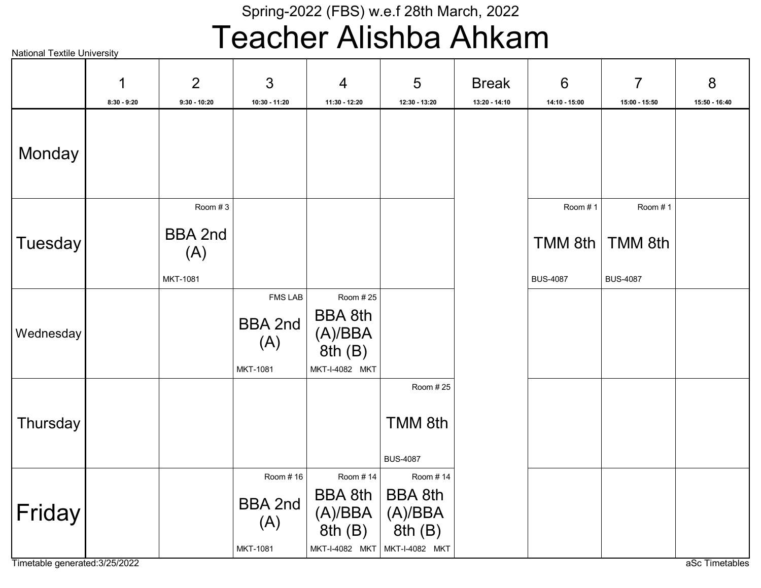## Teacher Alishba Ahkam

National Textile University

|           | 1<br>$8:30 - 9:20$ | $\overline{2}$<br>$9:30 - 10:20$             | 3<br>10:30 - 11:20                                   | $\overline{4}$<br>11:30 - 12:20                                                    | 5<br>12:30 - 13:20                               | <b>Break</b><br>13:20 - 14:10 | $6\phantom{1}6$<br>14:10 - 15:00      | $\overline{7}$<br>15:00 - 15:50              | 8<br>15:50 - 16:40 |
|-----------|--------------------|----------------------------------------------|------------------------------------------------------|------------------------------------------------------------------------------------|--------------------------------------------------|-------------------------------|---------------------------------------|----------------------------------------------|--------------------|
| Monday    |                    |                                              |                                                      |                                                                                    |                                                  |                               |                                       |                                              |                    |
| Tuesday   |                    | Room #3<br><b>BBA 2nd</b><br>(A)<br>MKT-1081 |                                                      |                                                                                    |                                                  |                               | Room #1<br>TMM 8th<br><b>BUS-4087</b> | Room #1<br><b>TMM 8th</b><br><b>BUS-4087</b> |                    |
| Wednesday |                    |                                              | <b>FMS LAB</b><br><b>BBA 2nd</b><br>(A)<br>MKT-1081  | Room # 25<br><b>BBA 8th</b><br>(A)/BBA<br>8th(B)<br>MKT-I-4082 MKT                 |                                                  |                               |                                       |                                              |                    |
| Thursday  |                    |                                              |                                                      |                                                                                    | Room #25<br>TMM 8th<br><b>BUS-4087</b>           |                               |                                       |                                              |                    |
| Friday    |                    |                                              | Room #16<br><b>BBA 2nd</b><br>(A)<br><b>MKT-1081</b> | Room #14<br><b>BBA 8th</b><br>(A)/BBA<br>8th(B)<br>MKT-I-4082 MKT   MKT-I-4082 MKT | Room # 14<br><b>BBA 8th</b><br>(A)/BBA<br>8th(B) |                               |                                       |                                              |                    |

Timetable generated:3/25/2022 and and and all the state of the state of the state of the state of the state of the state of the state of the state of the state of the state of the state of the state of the state of the sta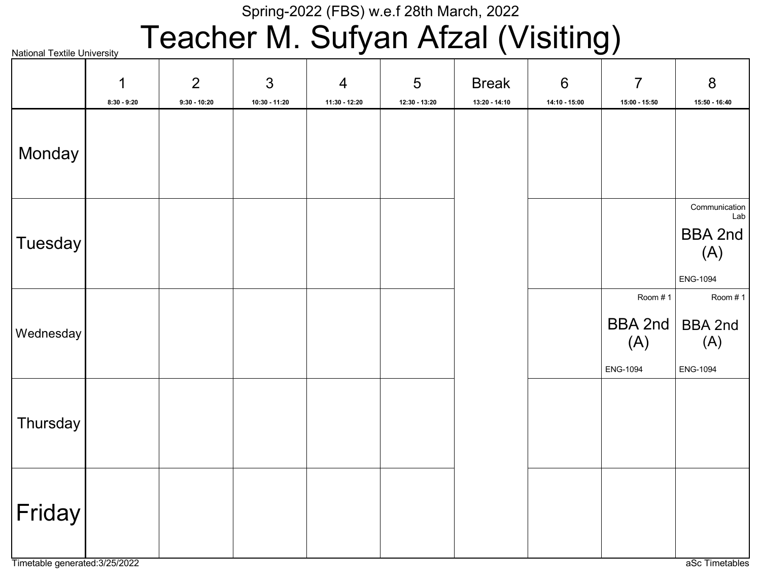# Teacher M. Sufyan Afzal (Visiting)

|           | 1<br>$8:30 - 9:20$ | $\overline{2}$<br>$9:30 - 10:20$ | $\mathfrak{S}$<br>10:30 - 11:20 | $\overline{4}$<br>11:30 - 12:20 | 5<br>12:30 - 13:20 | <b>Break</b><br>13:20 - 14:10 | $6\,$<br>14:10 - 15:00 | $\overline{7}$<br>15:00 - 15:50              | 8<br>15:50 - 16:40                                        |
|-----------|--------------------|----------------------------------|---------------------------------|---------------------------------|--------------------|-------------------------------|------------------------|----------------------------------------------|-----------------------------------------------------------|
| Monday    |                    |                                  |                                 |                                 |                    |                               |                        |                                              |                                                           |
| Tuesday   |                    |                                  |                                 |                                 |                    |                               |                        |                                              | Communication<br>Lab<br><b>BBA 2nd</b><br>(A)<br>ENG-1094 |
| Wednesday |                    |                                  |                                 |                                 |                    |                               |                        | Room #1<br><b>BBA 2nd</b><br>(A)<br>ENG-1094 | Room #1<br><b>BBA 2nd</b><br>(A)<br><b>ENG-1094</b>       |
| Thursday  |                    |                                  |                                 |                                 |                    |                               |                        |                                              |                                                           |
| Friday    |                    |                                  |                                 |                                 |                    |                               |                        |                                              |                                                           |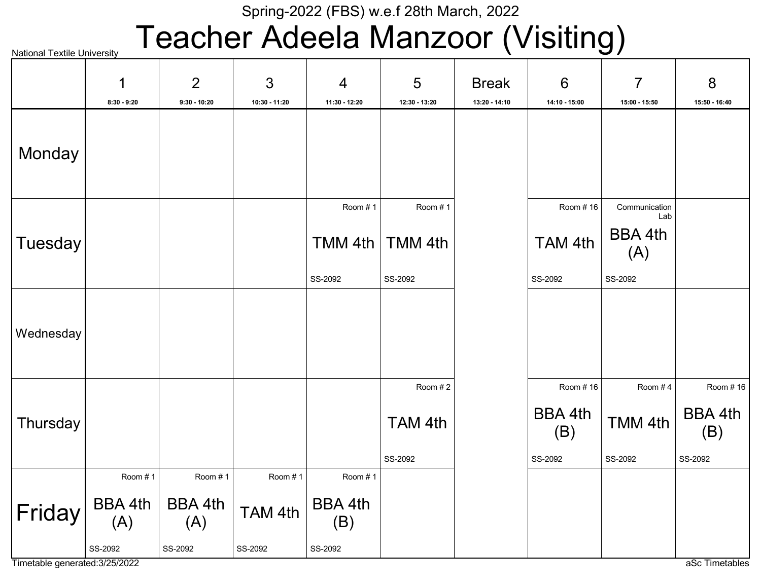# Teacher Adeela Manzoor (Visiting)

|           | 1                     | $\overline{2}$        | 3             | $\overline{4}$ | 5             | <b>Break</b>  | 6              | $\overline{7}$        | 8                     |
|-----------|-----------------------|-----------------------|---------------|----------------|---------------|---------------|----------------|-----------------------|-----------------------|
|           | $8:30 - 9:20$         | $9:30 - 10:20$        | 10:30 - 11:20 | 11:30 - 12:20  | 12:30 - 13:20 | 13:20 - 14:10 | 14:10 - 15:00  | 15:00 - 15:50         | 15:50 - 16:40         |
| Monday    |                       |                       |               |                |               |               |                |                       |                       |
|           |                       |                       |               | Room #1        | Room #1       |               | Room #16       | Communication<br>Lab  |                       |
| Tuesday   |                       |                       |               | TMM 4th        | TMM 4th       |               | TAM 4th        | <b>BBA 4th</b><br>(A) |                       |
|           |                       |                       |               | SS-2092        | SS-2092       |               | SS-2092        | SS-2092               |                       |
| Wednesday |                       |                       |               |                |               |               |                |                       |                       |
|           |                       |                       |               |                | Room #2       |               | Room #16       | Room #4               | Room # 16             |
| Thursday  |                       |                       |               |                | TAM 4th       |               | BBA 4th<br>(B) | TMM 4th               | <b>BBA 4th</b><br>(B) |
|           |                       |                       |               |                | SS-2092       |               | SS-2092        | SS-2092               | SS-2092               |
|           | Room #1               | Room #1               | Room #1       | Room #1        |               |               |                |                       |                       |
| Friday    | <b>BBA 4th</b><br>(A) | <b>BBA 4th</b><br>(A) | TAM 4th       | BBA 4th<br>(B) |               |               |                |                       |                       |
|           | SS-2092               | SS-2092               | SS-2092       | SS-2092        |               |               |                |                       |                       |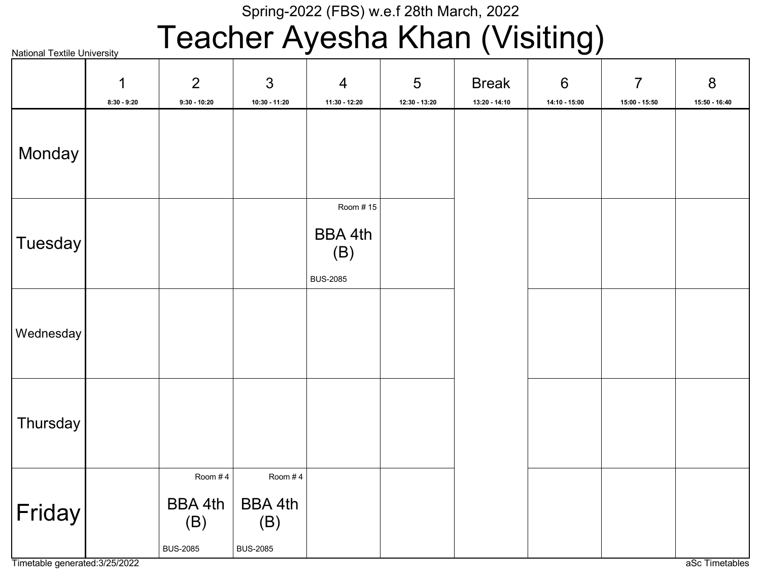# Teacher Ayesha Khan (Visiting)

| <b>National Textile University</b> |                              |                                                     | - - - - <b>- -</b>                                  |                                                      |                      | - -                           | <u>- J /</u>             |                                   |                      |
|------------------------------------|------------------------------|-----------------------------------------------------|-----------------------------------------------------|------------------------------------------------------|----------------------|-------------------------------|--------------------------|-----------------------------------|----------------------|
|                                    | $\mathbf 1$<br>$8:30 - 9:20$ | $\overline{2}$<br>$9:30 - 10:20$                    | $\mathfrak{S}$<br>10:30 - 11:20                     | $\overline{4}$<br>11:30 - 12:20                      | 5<br>$12:30 - 13:20$ | <b>Break</b><br>13:20 - 14:10 | $6\,$<br>$14:10 - 15:00$ | $\overline{7}$<br>$15:00 - 15:50$ | 8<br>$15:50 - 16:40$ |
| Monday                             |                              |                                                     |                                                     |                                                      |                      |                               |                          |                                   |                      |
| <b>Tuesday</b>                     |                              |                                                     |                                                     | Room #15<br><b>BBA 4th</b><br>(B)<br><b>BUS-2085</b> |                      |                               |                          |                                   |                      |
| Wednesday                          |                              |                                                     |                                                     |                                                      |                      |                               |                          |                                   |                      |
| Thursday                           |                              |                                                     |                                                     |                                                      |                      |                               |                          |                                   |                      |
| Friday                             |                              | Room #4<br><b>BBA 4th</b><br>(B)<br><b>BUS-2085</b> | Room #4<br><b>BBA 4th</b><br>(B)<br><b>BUS-2085</b> |                                                      |                      |                               |                          |                                   |                      |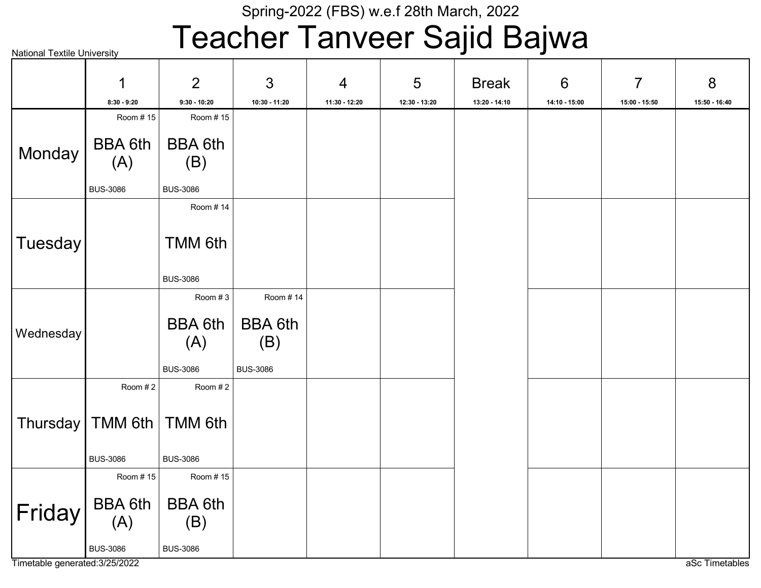# Teacher Tanveer Sajid Bajwa

| $   -$<br><b>National Textile University</b> |                                          |                                          |                                          |                                 |                    |                               |                                  |                    |                    |
|----------------------------------------------|------------------------------------------|------------------------------------------|------------------------------------------|---------------------------------|--------------------|-------------------------------|----------------------------------|--------------------|--------------------|
|                                              | 1<br>$8:30 - 9:20$                       | $\overline{2}$<br>$9:30 - 10:20$         | 3<br>10:30 - 11:20                       | $\overline{4}$<br>11:30 - 12:20 | 5<br>12:30 - 13:20 | <b>Break</b><br>13:20 - 14:10 | $6\phantom{1}6$<br>14:10 - 15:00 | 7<br>15:00 - 15:50 | 8<br>15:50 - 16:40 |
|                                              | Room #15                                 | Room #15                                 |                                          |                                 |                    |                               |                                  |                    |                    |
| Monday                                       | <b>BBA 6th</b><br>(A)<br><b>BUS-3086</b> | <b>BBA 6th</b><br>(B)<br><b>BUS-3086</b> |                                          |                                 |                    |                               |                                  |                    |                    |
|                                              |                                          | Room #14                                 |                                          |                                 |                    |                               |                                  |                    |                    |
| <b>Tuesday</b>                               |                                          | TMM 6th<br><b>BUS-3086</b>               |                                          |                                 |                    |                               |                                  |                    |                    |
|                                              |                                          | Room #3                                  | Room #14                                 |                                 |                    |                               |                                  |                    |                    |
| Wednesday                                    |                                          | <b>BBA 6th</b><br>(A)<br><b>BUS-3086</b> | <b>BBA 6th</b><br>(B)<br><b>BUS-3086</b> |                                 |                    |                               |                                  |                    |                    |
|                                              | Room #2                                  | Room #2                                  |                                          |                                 |                    |                               |                                  |                    |                    |
|                                              | Thursday   TMM 6th  <br><b>BUS-3086</b>  | TMM 6th<br><b>BUS-3086</b>               |                                          |                                 |                    |                               |                                  |                    |                    |
|                                              | Room # 15                                | Room #15                                 |                                          |                                 |                    |                               |                                  |                    |                    |
| Friday                                       | <b>BBA 6th</b><br>(A)                    | <b>BBA 6th</b><br>(B)                    |                                          |                                 |                    |                               |                                  |                    |                    |
|                                              | <b>BUS-3086</b>                          | <b>BUS-3086</b>                          |                                          |                                 |                    |                               |                                  |                    |                    |

Timetable generated:3/25/2022 and a set Timetables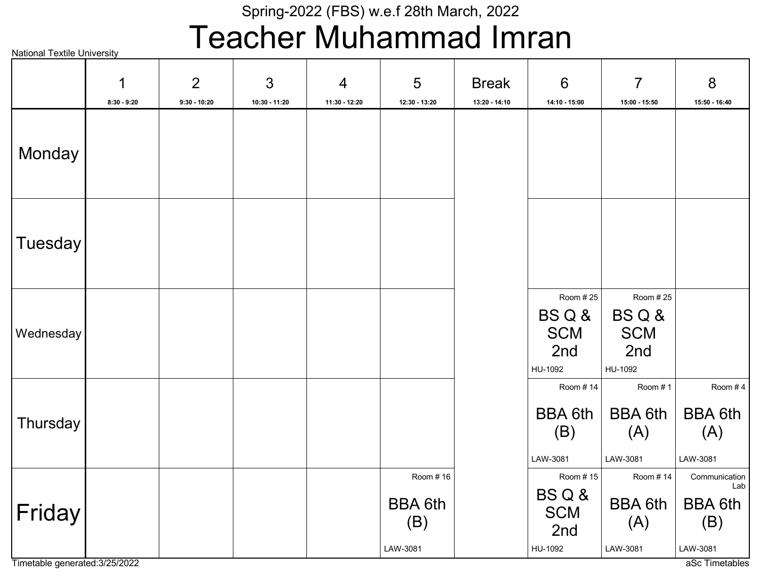## Teacher Muhammad Imran

National Textile University BS Q & **SCM** 2nd HU-1092 Room # 25 BS Q & **SCM** 2nd HU-1092 Room # 25 BBA 6th (A) LAW-3081 Room # 1 BBA 6th (A) LAW-3081 Room # 4 BBA 6th (B) LAW-3081 Room # 14 BBA 6th (B) LAW-3081 Room # 16 BBA 6th (A) LAW-3081 Room # 14 BBA 6th (B) LAW-3081 Communication  $BS \, Q \, 8$   $\Big|$   $\Big|$   $\Big|$   $\Big|$   $\Big|$   $\Big|$   $\Big|$   $\Big|$   $\Big|$   $\Big|$   $\Big|$   $\Big|$   $\Big|$   $\Big|$   $\Big|$   $\Big|$   $\Big|$   $\Big|$   $\Big|$   $\Big|$   $\Big|$   $\Big|$   $\Big|$   $\Big|$   $\Big|$   $\Big|$   $\Big|$   $\Big|$   $\Big|$   $\Big|$   $\Big|$   $\Big|$   $\Big|$   $\Big|$   $\Big|$  **SCM** 2nd HU-1092 Room # 15 **Monday Tuesday Wednesday Thursday** Friday 1 8:30 - 9:20 2 9:30 - 10:20 3 10:30 - 11:20 4 11:30 - 12:20 5 12:30 - 13:20 Break 13:20 - 14:10 6 14:10 - 15:00 7 15:00 - 15:50 8 15:50 - 16:40

Timetable generated:3/25/2022 aSc Timetables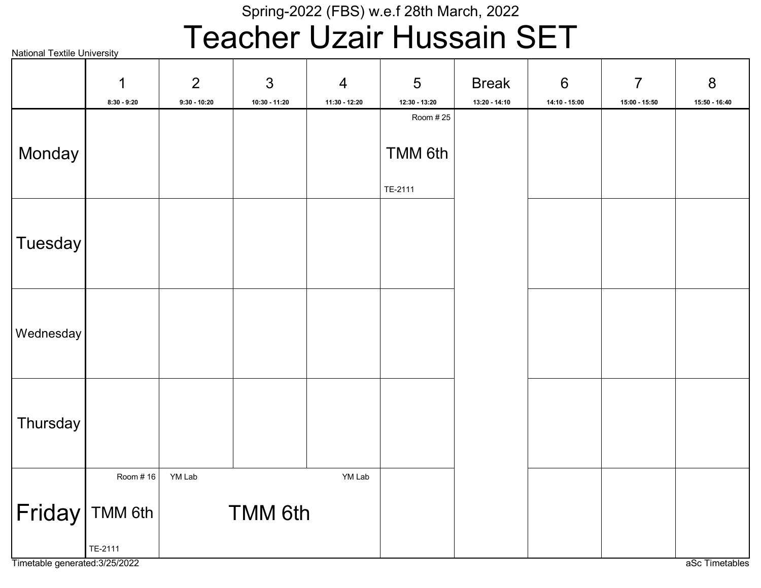# Teacher Uzair Hussain SET

National Textile University TMM 6th TE-2111 Room # 25 TMM 6th TE-2111 Room # 16 TMM 6th YM Lab YM Lab Monday **Tuesday** Wednesday **Thursday** Friday 1 8:30 - 9:20 2 9:30 - 10:20 3 10:30 - 11:20 4 11:30 - 12:20 5 12:30 - 13:20 Break 13:20 - 14:10 6 14:10 - 15:00 7 15:00 - 15:50 8 15:50 - 16:40

Timetable generated:3/25/2022 aSc Timetables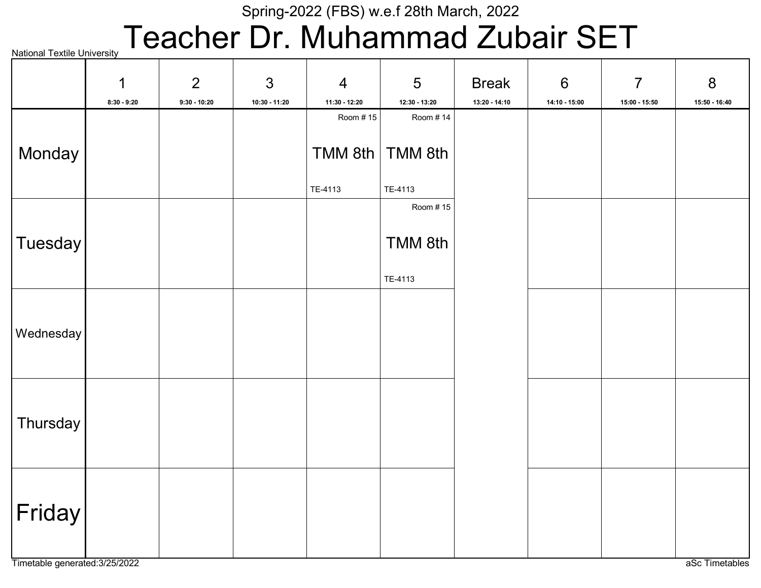# Teacher Dr. Muhammad Zubair SET

|                     | $\mathbf 1$   | 2              | $\mathfrak{S}$  | $\overline{4}$ | 5             | <b>Break</b>  | $6\phantom{1}$  | $\overline{7}$  | $\bf 8$         |
|---------------------|---------------|----------------|-----------------|----------------|---------------|---------------|-----------------|-----------------|-----------------|
|                     | $8:30 - 9:20$ | $9:30 - 10:20$ | $10:30 - 11:20$ | 11:30 - 12:20  | 12:30 - 13:20 | 13:20 - 14:10 | $14:10 - 15:00$ | $15:00 - 15:50$ | $15:50 - 16:40$ |
|                     |               |                |                 | Room #15       | Room #14      |               |                 |                 |                 |
|                     |               |                |                 |                |               |               |                 |                 |                 |
| Monday              |               |                |                 | TMM 8th        | TMM 8th       |               |                 |                 |                 |
|                     |               |                |                 | TE-4113        | TE-4113       |               |                 |                 |                 |
|                     |               |                |                 |                | Room #15      |               |                 |                 |                 |
| Tuesday             |               |                |                 |                | TMM 8th       |               |                 |                 |                 |
|                     |               |                |                 |                | TE-4113       |               |                 |                 |                 |
|                     |               |                |                 |                |               |               |                 |                 |                 |
|                     |               |                |                 |                |               |               |                 |                 |                 |
| Wednesday           |               |                |                 |                |               |               |                 |                 |                 |
|                     |               |                |                 |                |               |               |                 |                 |                 |
|                     |               |                |                 |                |               |               |                 |                 |                 |
|                     |               |                |                 |                |               |               |                 |                 |                 |
| Thursday            |               |                |                 |                |               |               |                 |                 |                 |
|                     |               |                |                 |                |               |               |                 |                 |                 |
|                     |               |                |                 |                |               |               |                 |                 |                 |
|                     |               |                |                 |                |               |               |                 |                 |                 |
|                     |               |                |                 |                |               |               |                 |                 |                 |
| Friday <sup>®</sup> |               |                |                 |                |               |               |                 |                 |                 |
|                     |               |                |                 |                |               |               |                 |                 |                 |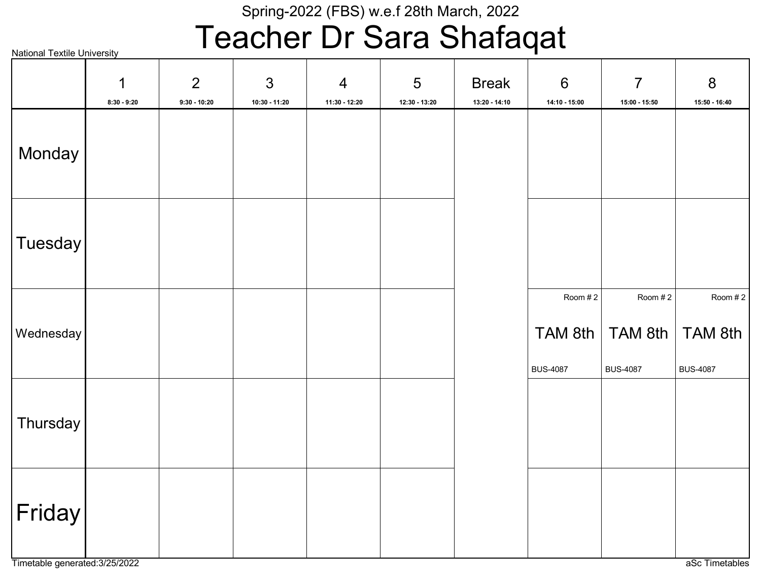## Teacher Dr Sara Shafaqat

|                | $\mathbf 1$<br>$8:30 - 9:20$ | $\overline{2}$<br>$9:30 - 10:20$ | 3<br>10:30 - 11:20 | $\overline{4}$<br>11:30 - 12:20 | 5<br>$12:30 - 13:20$ | <b>Break</b><br>$13:20 - 14:10$ | $6\,$<br>14:10 - 15:00                | $\overline{7}$<br>15:00 - 15:50       | 8<br>15:50 - 16:40                    |
|----------------|------------------------------|----------------------------------|--------------------|---------------------------------|----------------------|---------------------------------|---------------------------------------|---------------------------------------|---------------------------------------|
| Monday         |                              |                                  |                    |                                 |                      |                                 |                                       |                                       |                                       |
| <b>Tuesday</b> |                              |                                  |                    |                                 |                      |                                 |                                       |                                       |                                       |
| Wednesday      |                              |                                  |                    |                                 |                      |                                 | Room #2<br>TAM 8th<br><b>BUS-4087</b> | Room #2<br>TAM 8th<br><b>BUS-4087</b> | Room #2<br>TAM 8th<br><b>BUS-4087</b> |
| Thursday       |                              |                                  |                    |                                 |                      |                                 |                                       |                                       |                                       |
| Friday         |                              |                                  |                    |                                 |                      |                                 |                                       |                                       |                                       |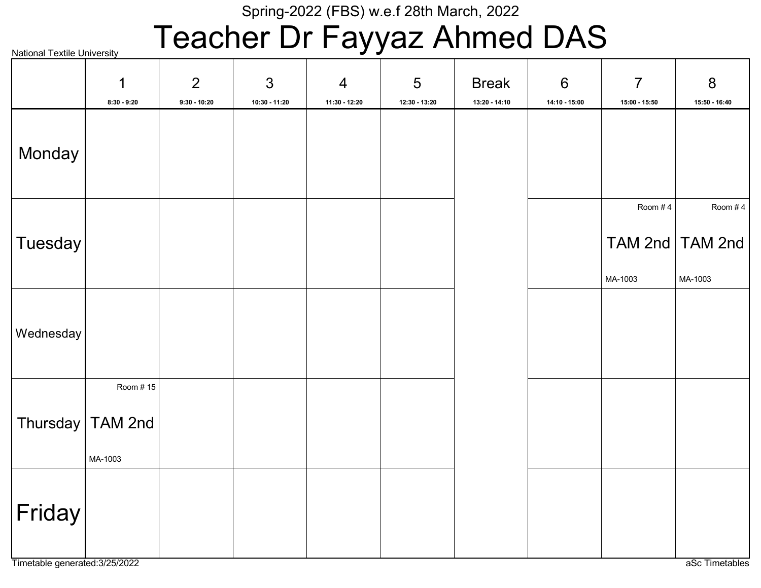# Teacher Dr Fayyaz Ahmed DAS

National Textile University TAM 2nd MA-1003 Room # 4 TAM 2nd MA-1003 Room # 4 Thursday | TAM 2nd MA-1003 Room # 15 Monday **Tuesday** Wednesday Friday 1 8:30 - 9:20 2 9:30 - 10:20 3 10:30 - 11:20 4 11:30 - 12:20 5 12:30 - 13:20 Break 13:20 - 14:10 6 14:10 - 15:00 7 15:00 - 15:50 8 15:50 - 16:40

Timetable generated:3/25/2022 and a set of the control of the control of the control of the control of the control of the control of the control of the control of the control of the control of the control of the control of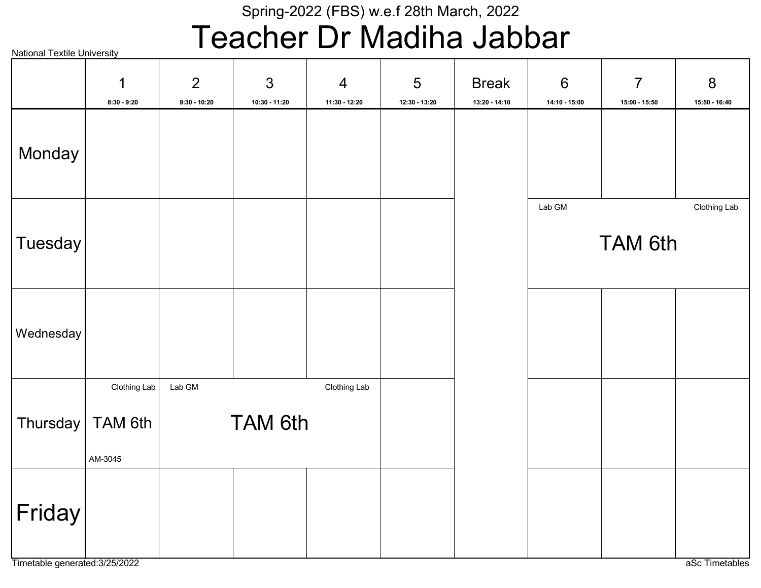## Teacher Dr Madiha Jabbar

National Textile University

|                     | 1<br>$8:30 - 9:20$                            | $\overline{2}$<br>$9:30 - 10:20$ | 3<br>10:30 - 11:20 | $\overline{4}$<br>11:30 - 12:20 | 5<br>12:30 - 13:20 | <b>Break</b><br>13:20 - 14:10 | $6\,$<br>14:10 - 15:00 | $\overline{7}$<br>15:00 - 15:50 | $8\,$<br>15:50 - 16:40 |
|---------------------|-----------------------------------------------|----------------------------------|--------------------|---------------------------------|--------------------|-------------------------------|------------------------|---------------------------------|------------------------|
| Monday              |                                               |                                  |                    |                                 |                    |                               |                        |                                 |                        |
| Tuesday             |                                               |                                  |                    |                                 |                    |                               | Lab GM                 | <b>TAM 6th</b>                  | Clothing Lab           |
| Wednesday           |                                               |                                  |                    |                                 |                    |                               |                        |                                 |                        |
|                     | Clothing Lab<br>Thursday   TAM 6th<br>AM-3045 | Lab GM                           | <b>TAM 6th</b>     | Clothing Lab                    |                    |                               |                        |                                 |                        |
| $ \mathsf{Friday} $ |                                               |                                  |                    |                                 |                    |                               |                        |                                 |                        |

Timetable generated:3/25/2022 and and and all the control of the control of the control of the control of the control of the control of the control of the control of the control of the control of the control of the control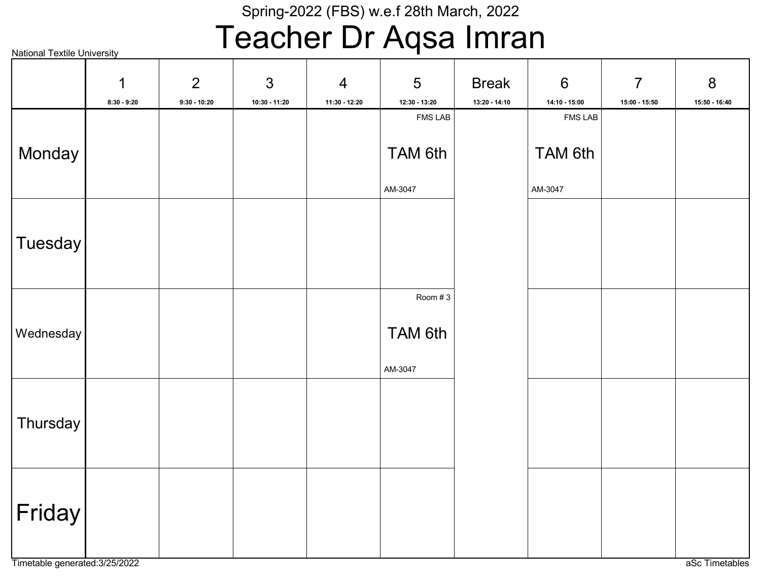## Teacher Dr Aqsa Imran

|           | 1             | $\overline{2}$ | $\mathfrak{S}$ | $\overline{4}$ | 5              | <b>Break</b>  | $6\,$          | $\overline{7}$ | $8\phantom{1}$ |
|-----------|---------------|----------------|----------------|----------------|----------------|---------------|----------------|----------------|----------------|
|           | $8:30 - 9:20$ | $9:30 - 10:20$ | 10:30 - 11:20  | 11:30 - 12:20  | 12:30 - 13:20  | 13:20 - 14:10 | 14:10 - 15:00  | 15:00 - 15:50  | 15:50 - 16:40  |
|           |               |                |                |                | <b>FMS LAB</b> |               | <b>FMS LAB</b> |                |                |
|           |               |                |                |                |                |               |                |                |                |
| Monday    |               |                |                |                | TAM 6th        |               | TAM 6th        |                |                |
|           |               |                |                |                |                |               |                |                |                |
|           |               |                |                |                | AM-3047        |               | AM-3047        |                |                |
|           |               |                |                |                |                |               |                |                |                |
|           |               |                |                |                |                |               |                |                |                |
| Tuesday   |               |                |                |                |                |               |                |                |                |
|           |               |                |                |                |                |               |                |                |                |
|           |               |                |                |                |                |               |                |                |                |
|           |               |                |                |                | Room #3        |               |                |                |                |
|           |               |                |                |                |                |               |                |                |                |
| Wednesday |               |                |                |                | TAM 6th        |               |                |                |                |
|           |               |                |                |                |                |               |                |                |                |
|           |               |                |                |                | AM-3047        |               |                |                |                |
|           |               |                |                |                |                |               |                |                |                |
|           |               |                |                |                |                |               |                |                |                |
| Thursday  |               |                |                |                |                |               |                |                |                |
|           |               |                |                |                |                |               |                |                |                |
|           |               |                |                |                |                |               |                |                |                |
|           |               |                |                |                |                |               |                |                |                |
|           |               |                |                |                |                |               |                |                |                |
| Friday    |               |                |                |                |                |               |                |                |                |
|           |               |                |                |                |                |               |                |                |                |
|           |               |                |                |                |                |               |                |                |                |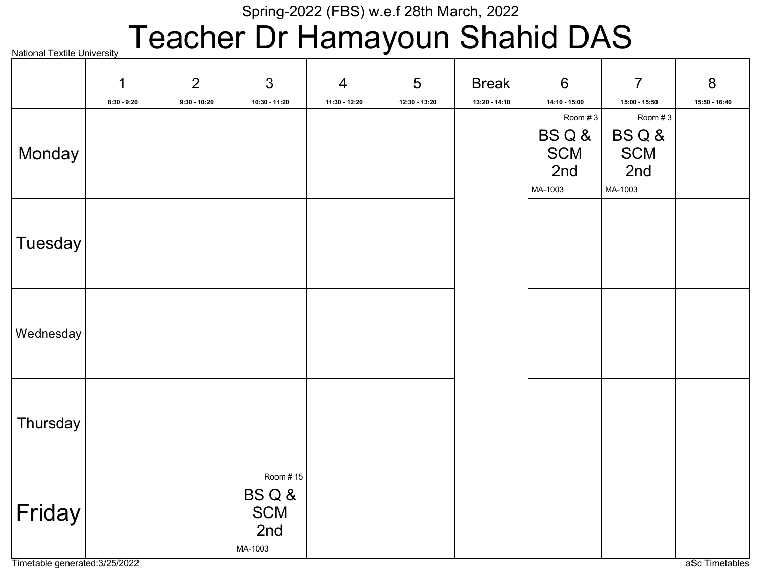# Teacher Dr Hamayoun Shahid DAS

National Textile University

|           | 1             | $\overline{2}$ | 3             | $\overline{4}$ | 5             | <b>Break</b>    | $6\phantom{1}$  | $\overline{7}$  | 8             |
|-----------|---------------|----------------|---------------|----------------|---------------|-----------------|-----------------|-----------------|---------------|
|           | $8:30 - 9:20$ | $9:30 - 10:20$ | 10:30 - 11:20 | 11:30 - 12:20  | 12:30 - 13:20 | $13:20 - 14:10$ | $14:10 - 15:00$ | $15:00 - 15:50$ | 15:50 - 16:40 |
|           |               |                |               |                |               |                 | Room #3         | Room #3         |               |
|           |               |                |               |                |               |                 | BSQ&            | BSQ&            |               |
| Monday    |               |                |               |                |               |                 | <b>SCM</b>      | <b>SCM</b>      |               |
|           |               |                |               |                |               |                 | 2nd             | 2nd             |               |
|           |               |                |               |                |               |                 | MA-1003         | MA-1003         |               |
|           |               |                |               |                |               |                 |                 |                 |               |
|           |               |                |               |                |               |                 |                 |                 |               |
| Tuesday   |               |                |               |                |               |                 |                 |                 |               |
|           |               |                |               |                |               |                 |                 |                 |               |
|           |               |                |               |                |               |                 |                 |                 |               |
|           |               |                |               |                |               |                 |                 |                 |               |
| Wednesday |               |                |               |                |               |                 |                 |                 |               |
|           |               |                |               |                |               |                 |                 |                 |               |
|           |               |                |               |                |               |                 |                 |                 |               |
|           |               |                |               |                |               |                 |                 |                 |               |
|           |               |                |               |                |               |                 |                 |                 |               |
| Thursday  |               |                |               |                |               |                 |                 |                 |               |
|           |               |                |               |                |               |                 |                 |                 |               |
|           |               |                |               |                |               |                 |                 |                 |               |
|           |               |                | Room #15      |                |               |                 |                 |                 |               |
|           |               |                | BSQ&          |                |               |                 |                 |                 |               |
| Friday    |               |                | <b>SCM</b>    |                |               |                 |                 |                 |               |
|           |               |                | 2nd           |                |               |                 |                 |                 |               |
|           |               |                | MA-1003       |                |               |                 |                 |                 |               |

Timetable generated:3/25/2022 and a set of the contract of the contract of the contract of the contract of the contract of the contract of the contract of the contract of the contract of the contract of the contract of the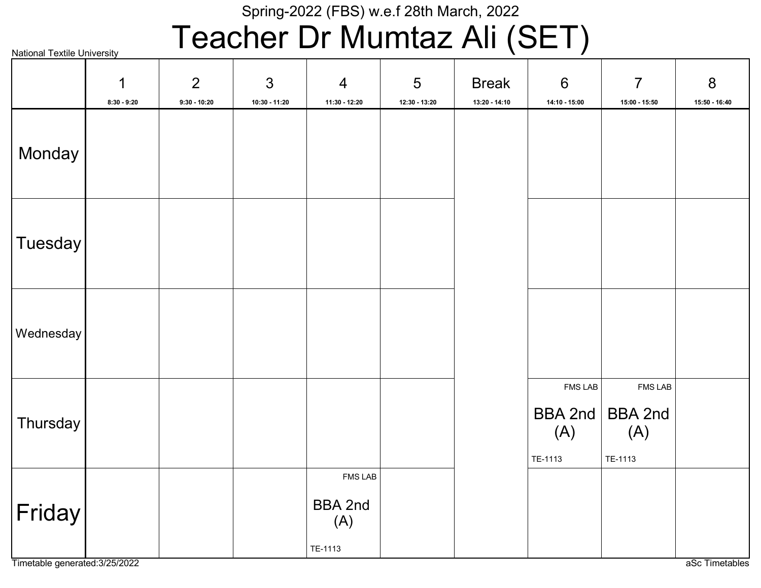# Teacher Dr Mumtaz Ali (SET)

National Textile University BBA 2nd (A) TE-1113 FMS LAB BBA 2nd (A) TE-1113 FMS LAB BBA 2nd (A) TE-1113 FMS LAB Monday **Tuesday** Wednesday **Thursday** Friday 1 8:30 - 9:20 2 9:30 - 10:20 3 10:30 - 11:20 4 11:30 - 12:20 5 12:30 - 13:20 Break 13:20 - 14:10 6 14:10 - 15:00 7 15:00 - 15:50 8 15:50 - 16:40

Timetable generated:3/25/2022 and a set Timetables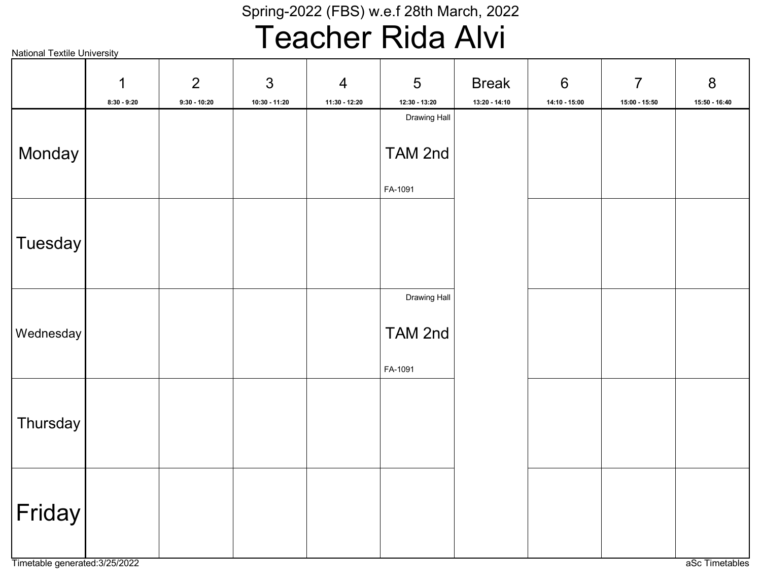# Teacher Rida Alvi

|           | 1             | $\overline{2}$ | 3             | $\overline{4}$ | 5                                      | <b>Break</b>    | $6\phantom{1}6$ | $\overline{7}$  | 8             |
|-----------|---------------|----------------|---------------|----------------|----------------------------------------|-----------------|-----------------|-----------------|---------------|
|           | $8:30 - 9:20$ | $9:30 - 10:20$ | 10:30 - 11:20 | 11:30 - 12:20  | $12:30 - 13:20$<br><b>Drawing Hall</b> | $13:20 - 14:10$ | $14:10 - 15:00$ | $15:00 - 15:50$ | 15:50 - 16:40 |
| Monday    |               |                |               |                | TAM 2nd                                |                 |                 |                 |               |
|           |               |                |               |                | FA-1091                                |                 |                 |                 |               |
|           |               |                |               |                |                                        |                 |                 |                 |               |
| Tuesday   |               |                |               |                |                                        |                 |                 |                 |               |
|           |               |                |               |                |                                        |                 |                 |                 |               |
|           |               |                |               |                | <b>Drawing Hall</b>                    |                 |                 |                 |               |
| Wednesday |               |                |               |                | TAM 2nd                                |                 |                 |                 |               |
|           |               |                |               |                | FA-1091                                |                 |                 |                 |               |
|           |               |                |               |                |                                        |                 |                 |                 |               |
| Thursday  |               |                |               |                |                                        |                 |                 |                 |               |
|           |               |                |               |                |                                        |                 |                 |                 |               |
|           |               |                |               |                |                                        |                 |                 |                 |               |
| Friday    |               |                |               |                |                                        |                 |                 |                 |               |
|           |               |                |               |                |                                        |                 |                 |                 |               |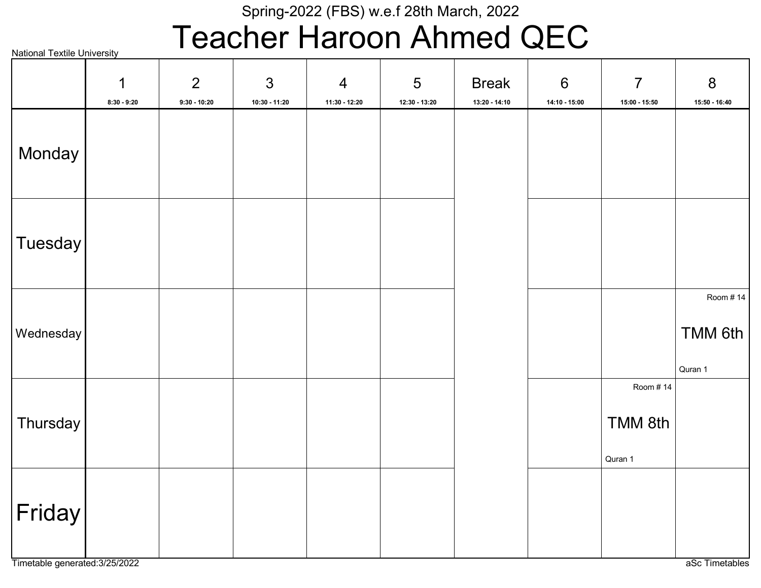## Teacher Haroon Ahmed QEC

National Textile University TMM 6th Quran 1 Room # 14 TMM 8th Quran 1 Room # 14 Monday **Tuesday** Wednesday **Thursday** Friday 1 8:30 - 9:20 2 9:30 - 10:20 3 10:30 - 11:20 4 11:30 - 12:20 5 12:30 - 13:20 Break 13:20 - 14:10 6 14:10 - 15:00 7 15:00 - 15:50 8 15:50 - 16:40

Timetable generated:3/25/2022 and a set Timetables